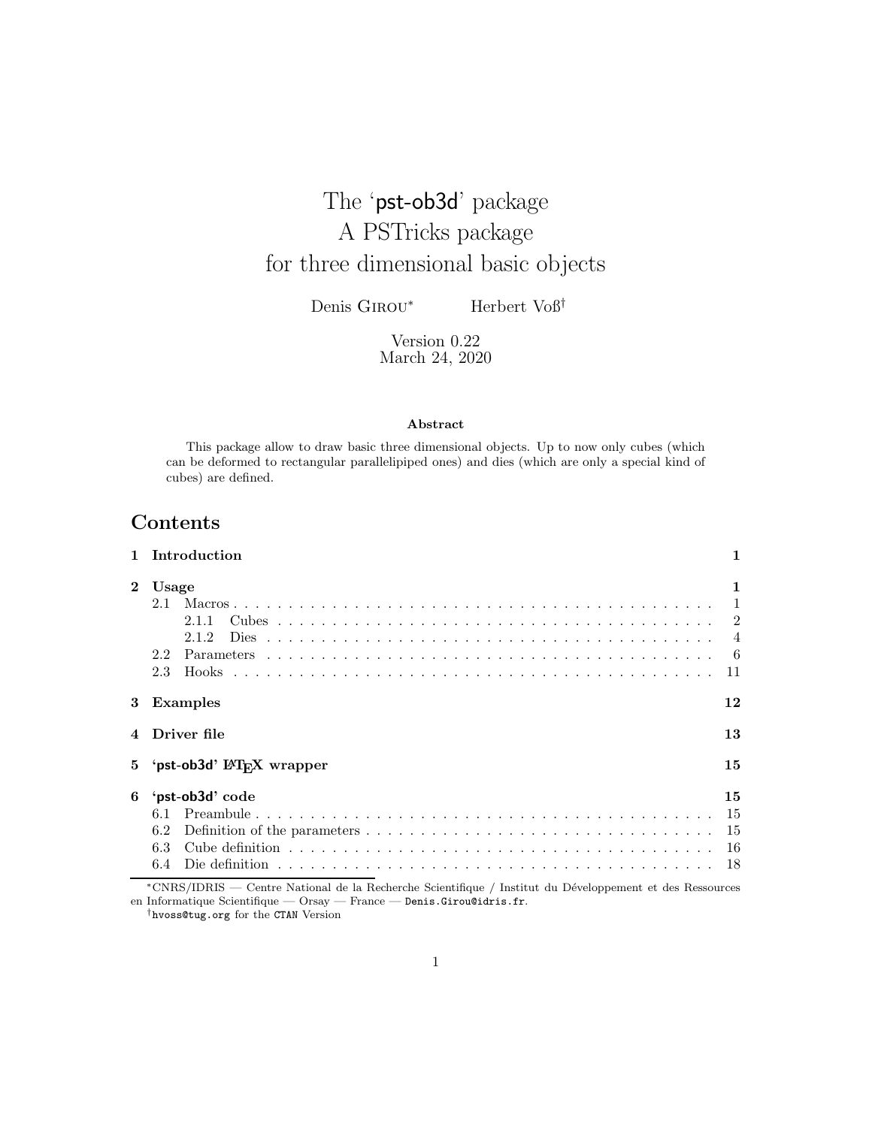# The 'pst-ob3d' package A PSTricks package for three dimensional basic objects

Denis GIROU<sup>\*</sup> Herbert Voß<sup>†</sup>

Version 0.22 March 24, 2020

#### Abstract

This package allow to draw basic three dimensional objects. Up to now only cubes (which can be deformed to rectangular parallelipiped ones) and dies (which are only a special kind of cubes) are defined.

### Contents

|                | Introduction                                                |                                                                    |
|----------------|-------------------------------------------------------------|--------------------------------------------------------------------|
| $\bf{2}$       | Usage<br>2.1<br>2.1.1<br>212<br>Dies<br>2.2<br>2.3<br>Hooks | 1<br>$\mathbf{1}$<br>$\mathfrak{D}$<br>$\overline{4}$<br>- 6<br>11 |
| 3              | Examples                                                    | 12                                                                 |
|                | Driver file                                                 | 13                                                                 |
| 5 <sup>5</sup> | 'pst-ob3d' L'FrX wrapper                                    | 15                                                                 |
| 6              | 'pst-ob3d' code<br>6.1<br>6.2<br>6.3<br>6.4                 | 15<br>15<br>15<br>16<br>18                                         |

<sup>∗</sup>CNRS/IDRIS — Centre National de la Recherche Scientifique / Institut du D´eveloppement et des Ressources en Informatique Scientifique — Orsay — France — Denis.Girou@idris.fr.

†hvoss@tug.org for the CTAN Version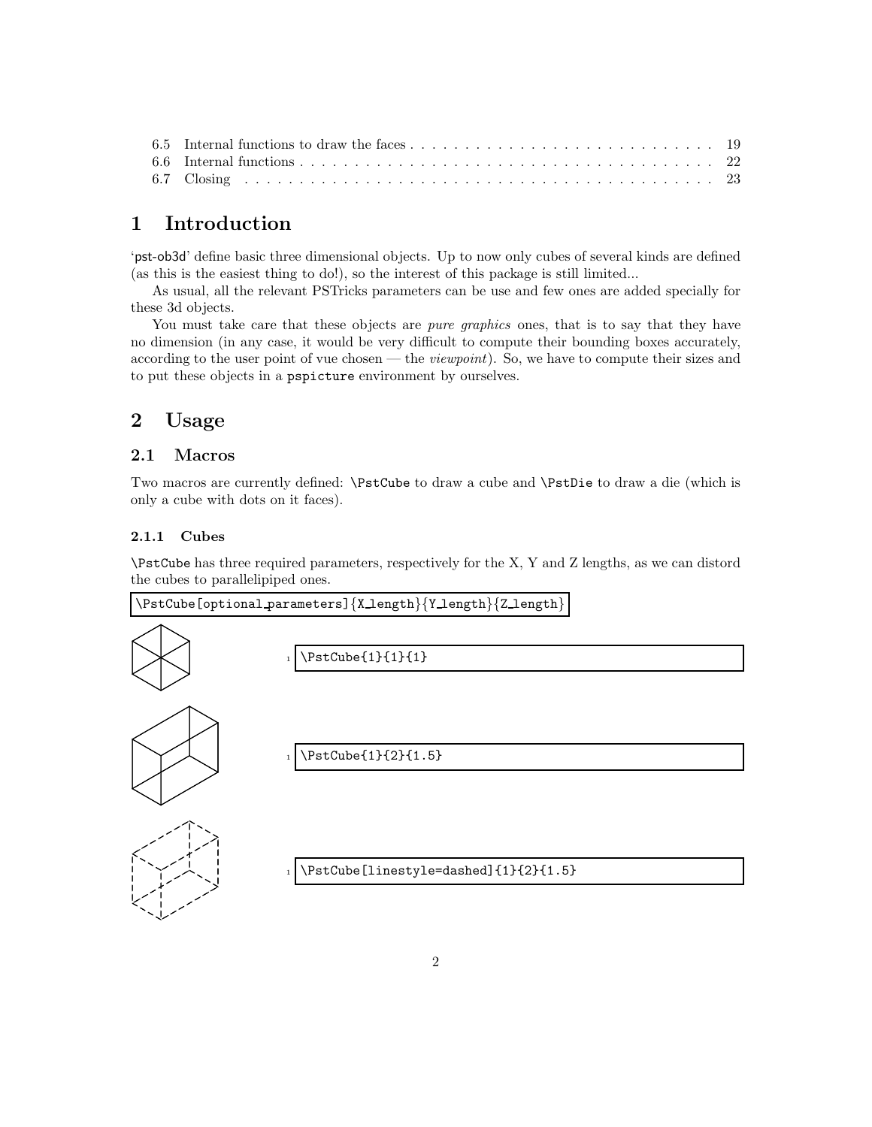### 1 Introduction

'pst-ob3d' define basic three dimensional objects. Up to now only cubes of several kinds are defined (as this is the easiest thing to do!), so the interest of this package is still limited...

As usual, all the relevant PSTricks parameters can be use and few ones are added specially for these 3d objects.

You must take care that these objects are *pure graphics* ones, that is to say that they have no dimension (in any case, it would be very difficult to compute their bounding boxes accurately, according to the user point of vue chosen — the *viewpoint*). So, we have to compute their sizes and to put these objects in a pspicture environment by ourselves.

### 2 Usage

### 2.1 Macros

Two macros are currently defined: \PstCube to draw a cube and \PstDie to draw a die (which is only a cube with dots on it faces).

### 2.1.1 Cubes

\PstCube has three required parameters, respectively for the X, Y and Z lengths, as we can distord the cubes to parallelipiped ones.

\PstCube[optional parameters]{X length}{Y length}{Z length}



\PstCube{1}{1}{1}



<sup>1</sup> \PstCube{1}{2}{1.5}



\PstCube[linestyle=dashed]{1}{2}{1.5}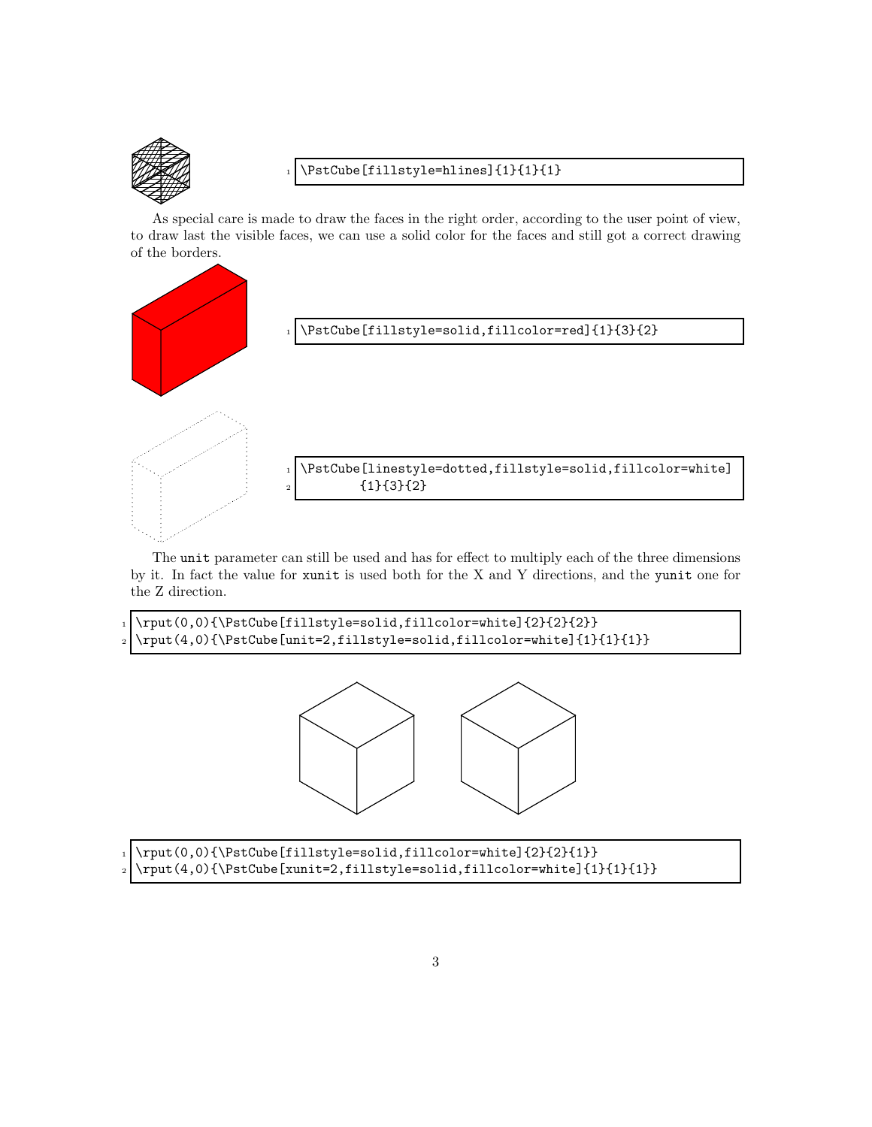

### \PstCube[fillstyle=hlines]{1}{1}{1}

As special care is made to draw the faces in the right order, according to the user point of view, to draw last the visible faces, we can use a solid color for the faces and still got a correct drawing of the borders.



The unit parameter can still be used and has for effect to multiply each of the three dimensions by it. In fact the value for xunit is used both for the X and Y directions, and the yunit one for the Z direction.

```
1 \rput(0,0){\PstCube[fillstyle=solid,fillcolor=white]{2}{2}{2}}
_2 \rput(4,0){\PstCube[unit=2,fillstyle=solid,fillcolor=white]{1}{1}{1}}
```


| 1 \rput(0,0){\PstCube[fillstyle=solid,fillcolor=white]{2}{2}{1}}            |
|-----------------------------------------------------------------------------|
| $_2$ \rput(4,0){\PstCube[xunit=2,fillstyle=solid,fillcolor=white]{1}{1}{1}} |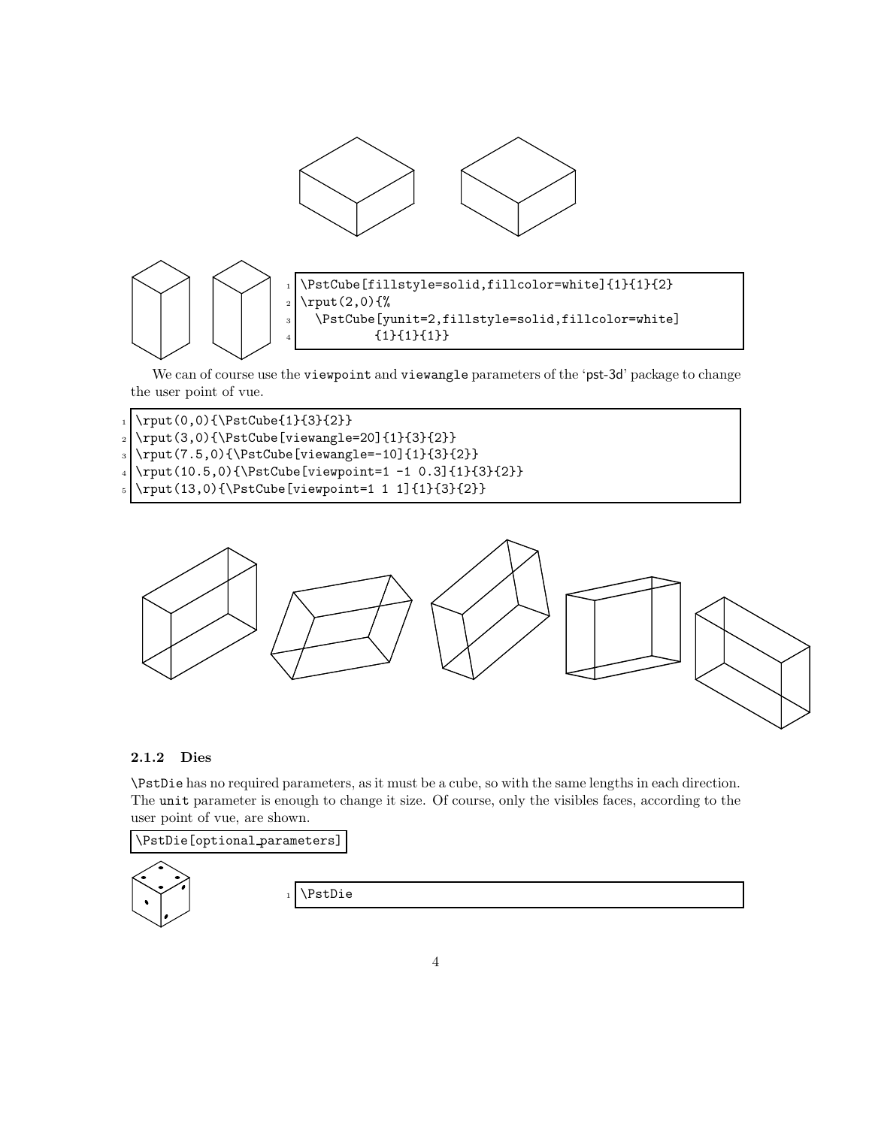

We can of course use the viewpoint and viewangle parameters of the 'pst-3d' package to change the user point of vue.

- $_1$  \rput(0,0){\PstCube{1}{3}{2}}
- <sup>2</sup> \rput(3,0){\PstCube[viewangle=20]{1}{3}{2}}
- $_3$  \rput(7.5,0){\PstCube[viewangle=-10]{1}{3}{2}}
- $_{4} \right(10.5,0) {\$stCube[viewpoint=1 -1 0.3]{1}{3}{2}}$
- $_{5} \rput(13,0){\Theta[viewpoint=1 1 1]{1}{3}{2}}$



### 2.1.2 Dies

\PstDie has no required parameters, as it must be a cube, so with the same lengths in each direction. The unit parameter is enough to change it size. Of course, only the visibles faces, according to the user point of vue, are shown.

# \PstDie[optional parameters]

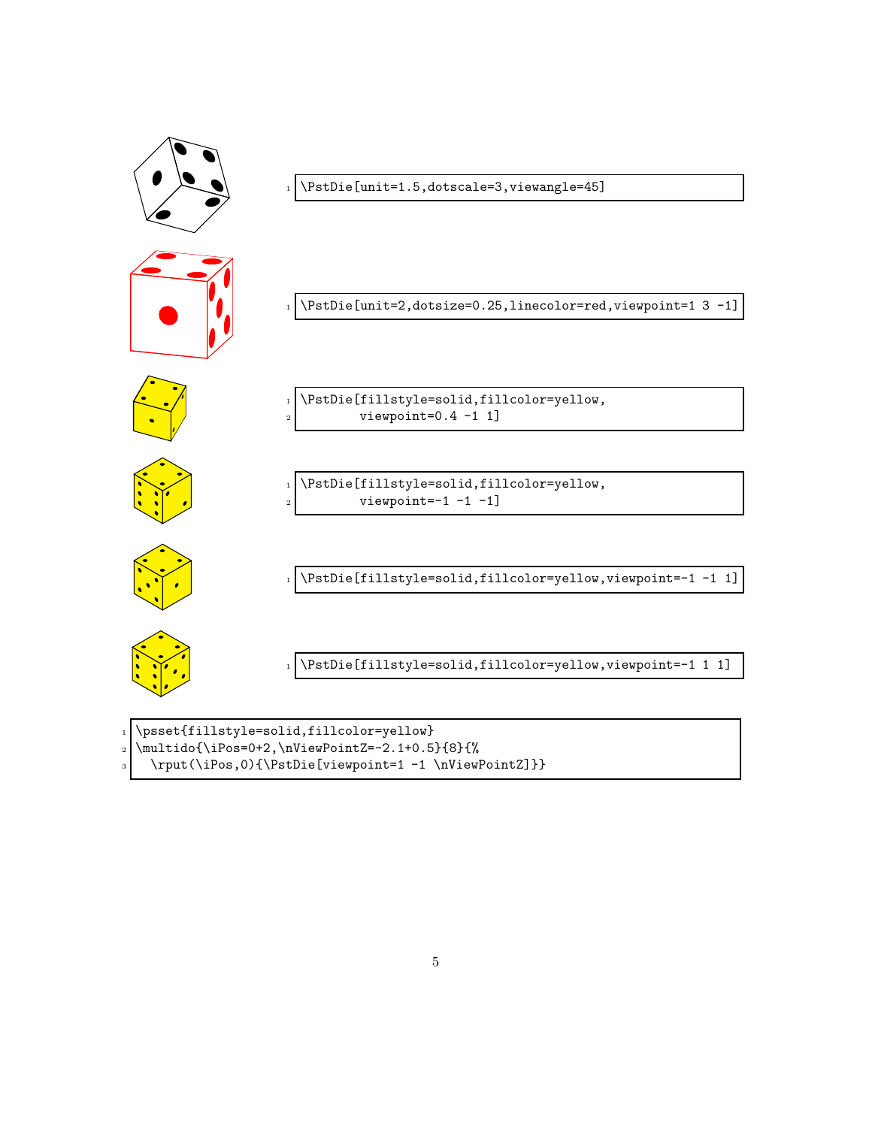

- $_2$  \multido{\iPos=0+2,\nViewPointZ=-2.1+0.5}{8}{%
- 
- <sup>3</sup> \rput(\iPos,0){\PstDie[viewpoint=1 -1 \nViewPointZ]}}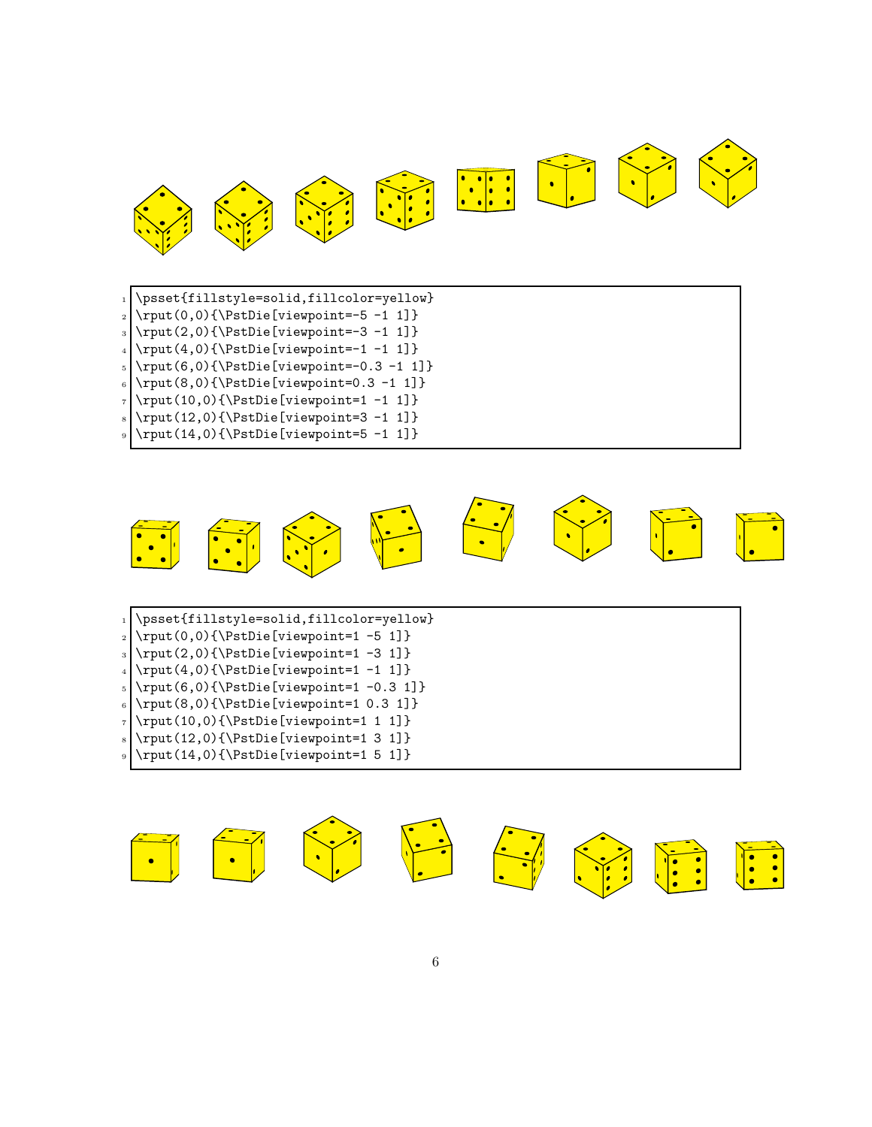

1 \psset{fillstyle=solid,fillcolor=yellow}  $_2$  \rput(0,0){\PstDie[viewpoint=-5 -1 1]}  $_3$  \rput(2,0){\PstDie[viewpoint=-3 -1 1]}  $_{4} \rightarrow (4,0){\Theta[viewpoint=-1 -1 1]}$  $5 \times 6$ , 0) {\PstDie[viewpoint=-0.3 -1 1] }  $_{6}$  \rput(8,0){\PstDie[viewpoint=0.3 -1 1]}  $_7$  \rput(10,0){\PstDie[viewpoint=1 -1 1]}  $\frac{8}{\text{12,0}}{\text{Distance}[viewpoint=3 -1 1]}$  $\frac{1}{0} {\rput(14,0) {\rStDie[viewpoint=5 -1 1]}$ 

![](_page_5_Picture_2.jpeg)

1 \psset{fillstyle=solid,fillcolor=yellow}  $_2 \rightarrow (0,0) {\Delta[vie] (viewpoint=1 -5 1]}$  $_3$  \rput(2,0){\PstDie[viewpoint=1 -3 1]}  $_4$  \rput(4,0){\PstDie[viewpoint=1 -1 1]}  $5 \times (6,0) {\Delta[vie[viewpoint=1 -0.3 1]}$  $6 \rightarrow 8$  \rput(8,0){\PstDie[viewpoint=1 0.3 1]}  $7 \times (10,0) {\\Phi[\text{viewpoint}=1 1 1]}$  $\text{s} \rightarrow (12,0) \{\Phi[viewpoint=1 3 1]\}$  $\frac{1}{(14,0)}{\PstDie[viewpoint=1 5 1]}$ 

![](_page_5_Picture_4.jpeg)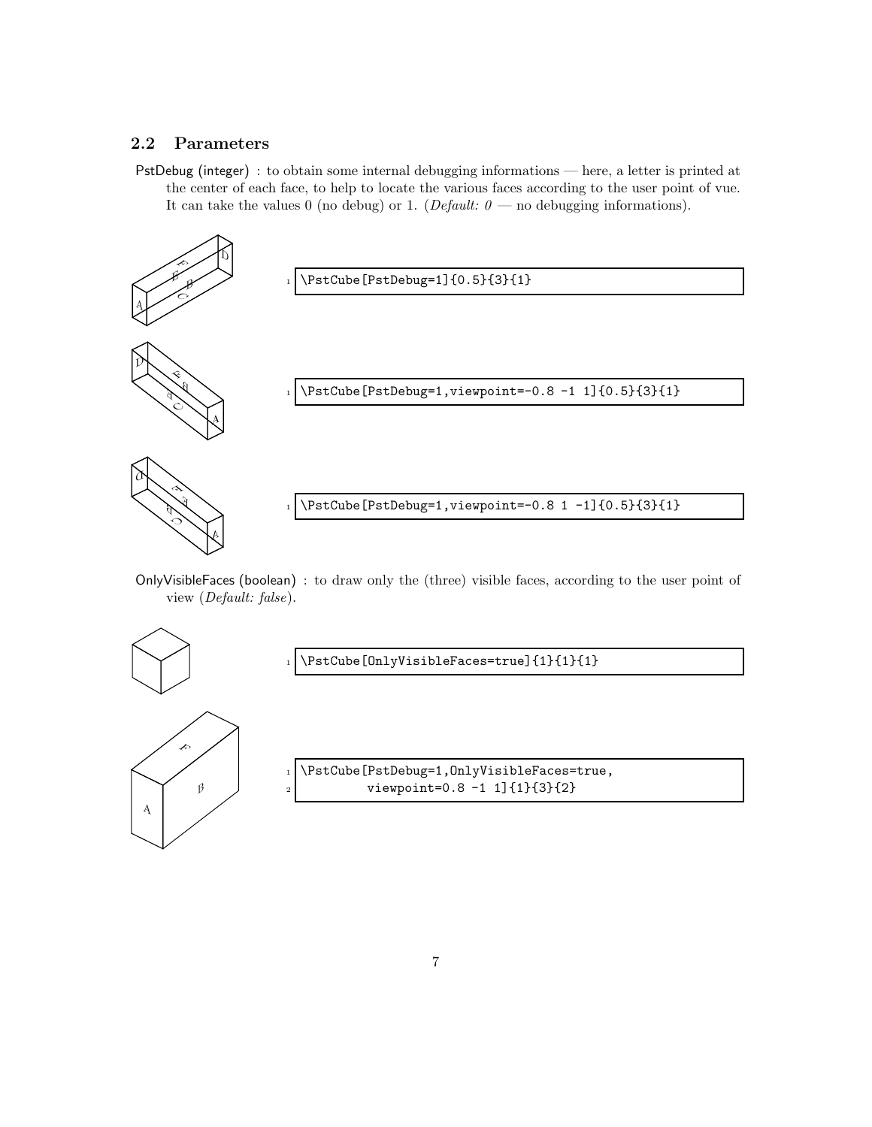### 2.2 Parameters

PstDebug (integer) : to obtain some internal debugging informations — here, a letter is printed at the center of each face, to help to locate the various faces according to the user point of vue. It can take the values 0 (no debug) or 1. (*Default:*  $\theta$  — no debugging informations).

![](_page_6_Figure_2.jpeg)

OnlyVisibleFaces (boolean) : to draw only the (three) visible faces, according to the user point of view (*Default: false*).

![](_page_6_Figure_4.jpeg)

\PstCube[OnlyVisibleFaces=true]{1}{1}{1}

1 \PstCube[PstDebug=1,OnlyVisibleFaces=true, viewpoint=0.8 -1 1]{1}{3}{2}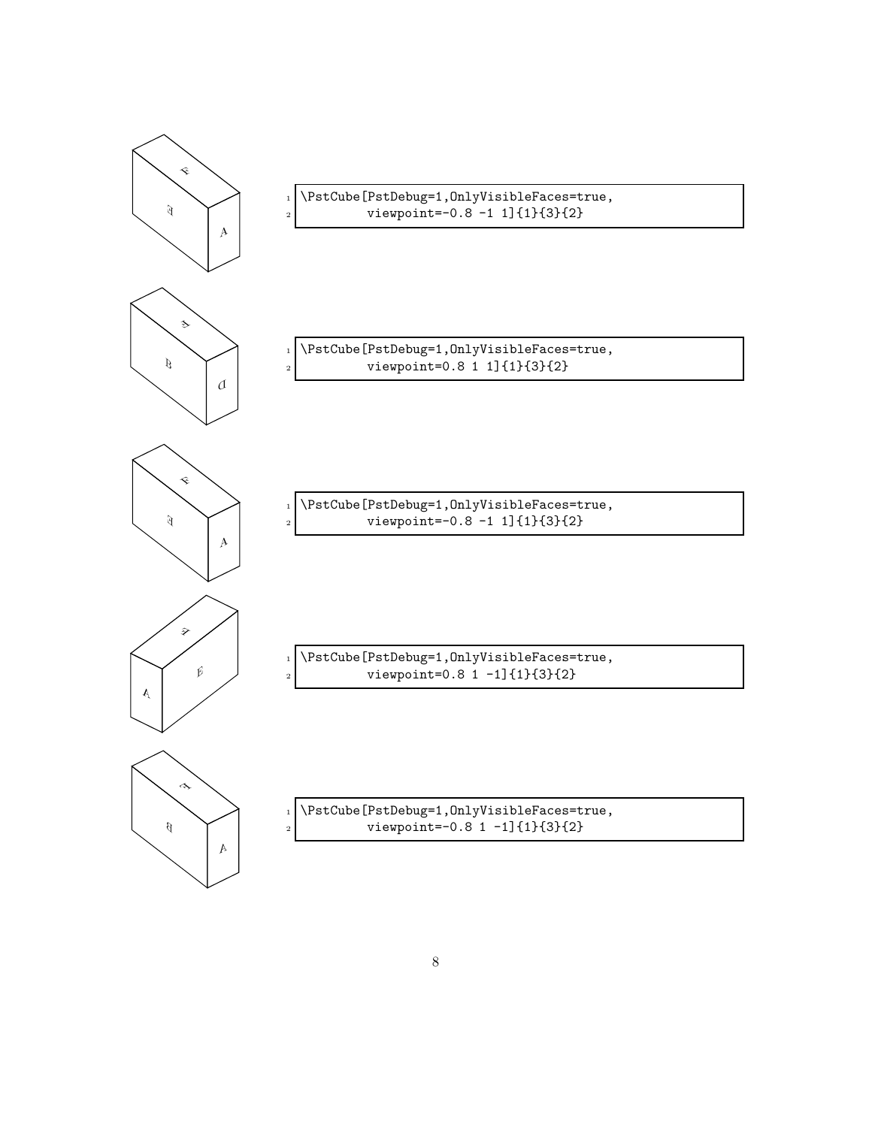![](_page_7_Figure_0.jpeg)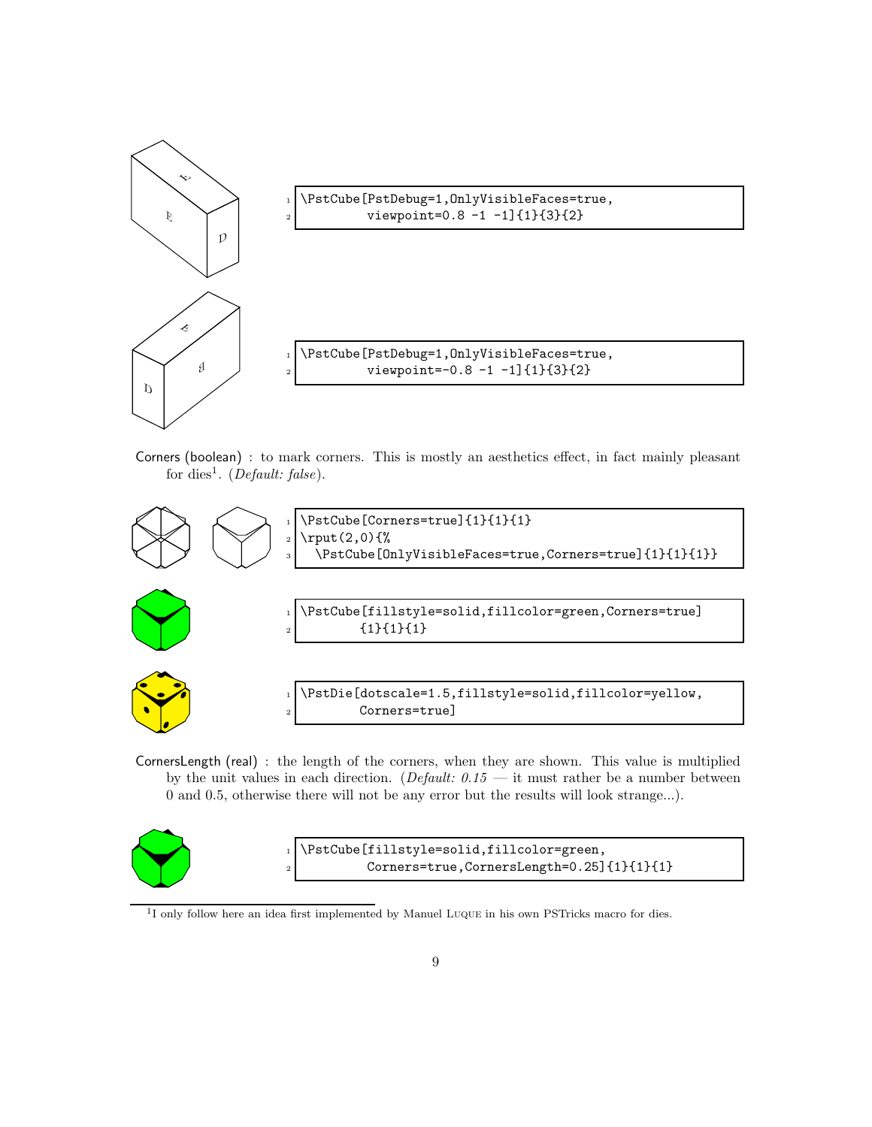![](_page_8_Figure_0.jpeg)

\PstCube[PstDebug=1,OnlyVisibleFaces=true, viewpoint=0.8 -1 -1]{1}{3}{2}

1 \PstCube[PstDebug=1,OnlyVisibleFaces=true,  $\frac{1}{2}$  viewpoint=-0.8 -1 -1]{1}{3}{2}

Corners (boolean) : to mark corners. This is mostly an aesthetics effect, in fact mainly pleasant for dies<sup>1</sup> . (*Default: false*).

![](_page_8_Figure_4.jpeg)

CornersLength (real) : the length of the corners, when they are shown. This value is multiplied by the unit values in each direction. (*Default:*  $0.15$  *—* it must rather be a number between 0 and 0.5, otherwise there will not be any error but the results will look strange...).

![](_page_8_Picture_6.jpeg)

\PstCube[fillstyle=solid,fillcolor=green, <sup>2</sup> Corners=true,CornersLength=0.25]{1}{1}{1}

<sup>&</sup>lt;sup>1</sup>I only follow here an idea first implemented by Manuel LUQUE in his own PSTricks macro for dies.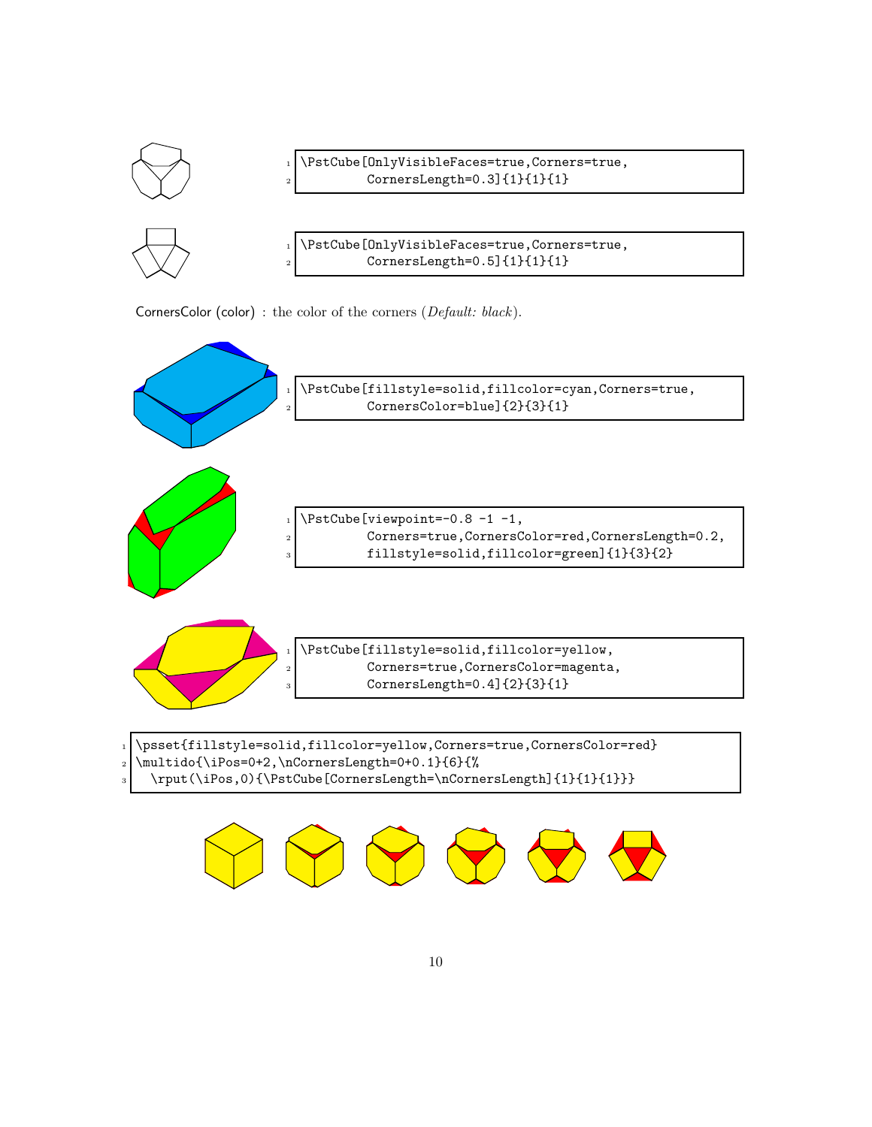![](_page_9_Figure_0.jpeg)

CornersColor (color) : the color of the corners (*Default: black*).

![](_page_9_Figure_2.jpeg)

\rput(\iPos,0){\PstCube[CornersLength=\nCornersLength]{1}{1}{1}}}

![](_page_9_Picture_4.jpeg)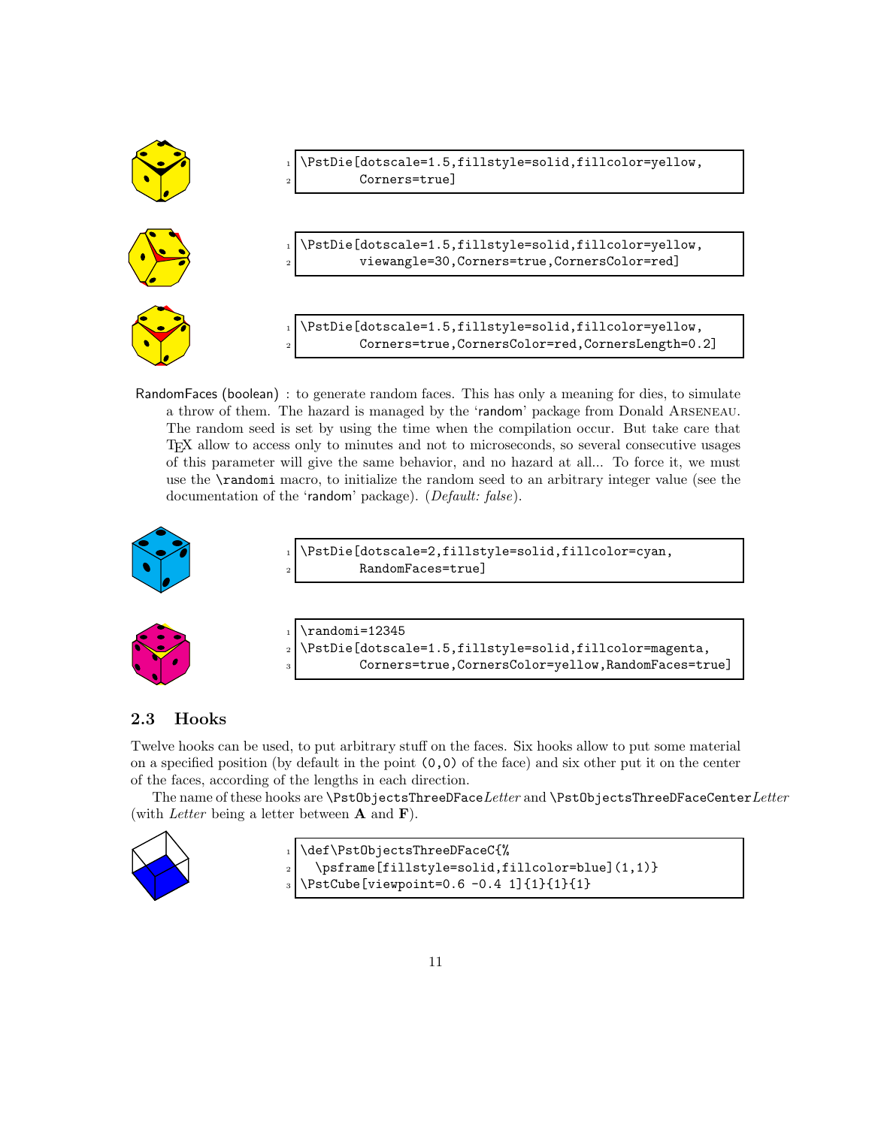![](_page_10_Figure_0.jpeg)

RandomFaces (boolean) : to generate random faces. This has only a meaning for dies, to simulate a throw of them. The hazard is managed by the 'random' package from Donald Arseneau. The random seed is set by using the time when the compilation occur. But take care that TEX allow to access only to minutes and not to microseconds, so several consecutive usages of this parameter will give the same behavior, and no hazard at all... To force it, we must use the \randomi macro, to initialize the random seed to an arbitrary integer value (see the documentation of the 'random' package). (*Default: false*).

![](_page_10_Picture_2.jpeg)

\PstDie[dotscale=2,fillstyle=solid,fillcolor=cyan, RandomFaces=true]

![](_page_10_Picture_4.jpeg)

 $\rm$ andomi=12345 <sup>2</sup> \PstDie[dotscale=1.5,fillstyle=solid,fillcolor=magenta, <sup>3</sup> Corners=true,CornersColor=yellow,RandomFaces=true]

### 2.3 Hooks

Twelve hooks can be used, to put arbitrary stuff on the faces. Six hooks allow to put some material on a specified position (by default in the point  $(0,0)$  of the face) and six other put it on the center of the faces, according of the lengths in each direction.

The name of these hooks are \PstObjectsThreeDFace*Letter* and \PstObjectsThreeDFaceCenter*Letter* (with *Letter* being a letter between A and F).

![](_page_10_Picture_9.jpeg)

\def\PstObjectsThreeDFaceC{% 2 \psframe[fillstyle=solid,fillcolor=blue](1,1)} \PstCube[viewpoint=0.6 -0.4 1]{1}{1}{1}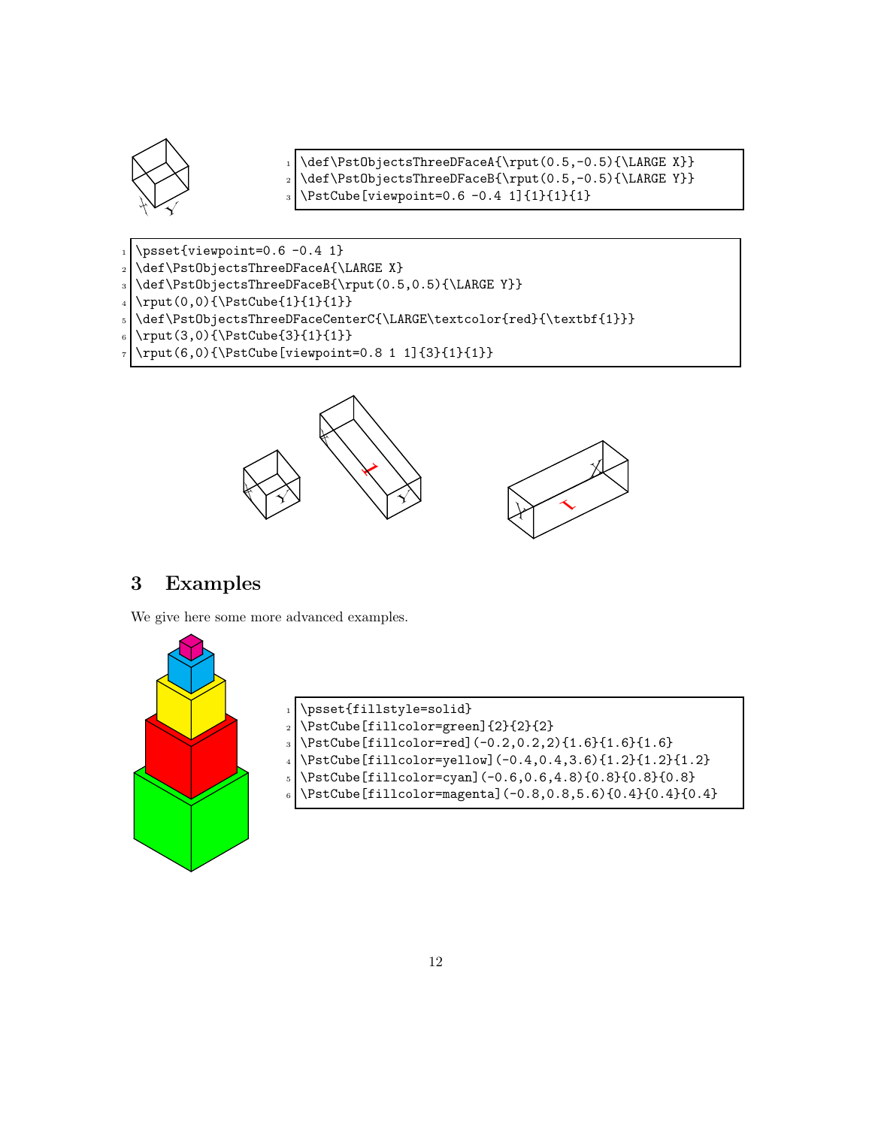![](_page_11_Picture_0.jpeg)

\def\PstObjectsThreeDFaceA{\rput(0.5,-0.5){\LARGE X}} 2 \def\PstObjectsThreeDFaceB{\rput(0.5,-0.5){\LARGE Y}}  $3 \ N$ stCube[viewpoint=0.6 -0.4 1]{1}{1}{1}}

- $1$  \psset{viewpoint=0.6 -0.4 1}
- 2 \def\PstObjectsThreeDFaceA{\LARGE X}
- <sup>3</sup> \def\PstObjectsThreeDFaceB{\rput(0.5,0.5){\LARGE Y}}
- $_{4} \rput(0,0){\$setCube{1}{1}{1}}$
- $\label{thm:main} $$\def\Pst0bjectsThreeDFaceCenterC{\LARGE\textcolor{|}{red}_{\textcolor{|}{}}\text\color{|}{\textcolor{|}{}}\text\color{|}{\textcolor{|}{}}\text\color{|}{\textcolor{|}{}}\text\color{|}{\textcolor{|}{}}\text\color{|}{\textcolor{|}{}}\text\color{|}{\textcolor{|}{}}\text\color{|}{\textcolor{|}{}}\text\color{|}{\textcolor{|}{}}\text\color{|}{\textcolor{|}{}}\text\color{|}{\textcolor{|}{}}\text\color{|}{\textcolor{|}{}}\text\color{|}{\textcolor{|}{$
- 6 \rput(3,0){\PstCube{3}{1}{1}}
- $7 \times (6,0) {\PstCube[viewpoint=0.8 1 1]{3}{1}{1}}$

![](_page_11_Figure_9.jpeg)

## 3 Examples

We give here some more advanced examples.

![](_page_11_Picture_12.jpeg)

| psset{fillstyle=solid}                                                                                    |
|-----------------------------------------------------------------------------------------------------------|
| $\frac{1}{2}$<br>\PstCube[fillcolor=green]{2}{2}{2}<br>\PstCube[fillcolor=red](-0.2,0.2,2){1.6}{1.6}{1.6} |
|                                                                                                           |
| $4$ \PstCube[fillcolor=yellow](-0.4,0.4,3.6){1.2}{1.2}{1.2}}                                              |
| $_{5}$ \PstCube[fillcolor=cyan](-0.6,0.6,4.8){0.8}{0.8}{0.8}                                              |
| 6 \PstCube [fillcolor=magenta] $(-0.8, 0.8, 5.6)$ {0.4} {0.4} {0.4}                                       |
|                                                                                                           |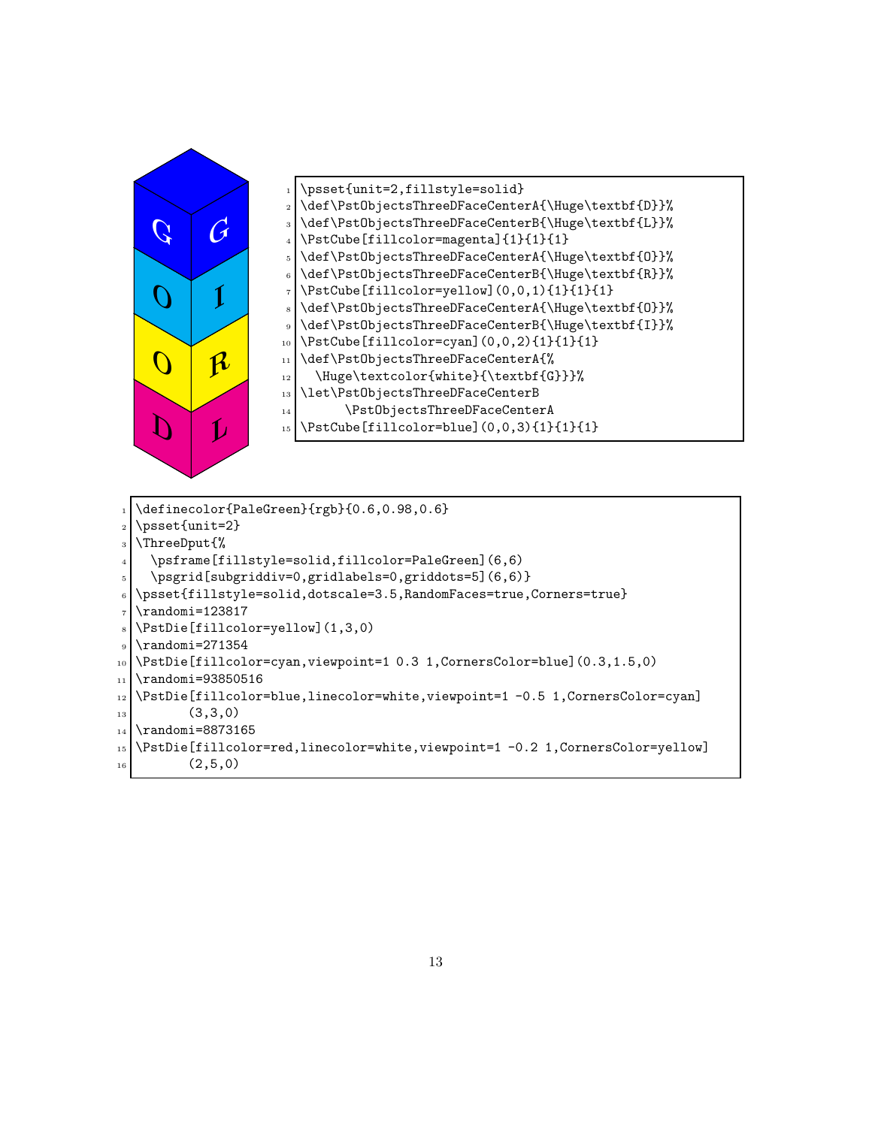![](_page_12_Figure_0.jpeg)

![](_page_12_Figure_1.jpeg)

\definecolor{PaleGreen}{rgb}{0.6,0.98,0.6}  $_2$  \psset{unit=2} <sup>3</sup> \ThreeDput{% 4 \psframe[fillstyle=solid,fillcolor=PaleGreen](6,6)  $5 \mid \ \begin{bmatrix} \text{s} \\ \text{b} \end{bmatrix}$  \psgrid[subgriddiv=0,gridlabels=0,griddots=5](6,6)} <sup>6</sup> \psset{fillstyle=solid,dotscale=3.5,RandomFaces=true,Corners=true}  $7 \times 123817$  $\vert$  \PstDie[fillcolor=yellow](1,3,0) \randomi=271354 <sup>10</sup> \PstDie[fillcolor=cyan,viewpoint=1 0.3 1,CornersColor=blue](0.3,1.5,0) 11 \randomi=93850516 12 \PstDie[fillcolor=blue,linecolor=white,viewpoint=1 -0.5 1,CornersColor=cyan]  $\begin{array}{c|c} \n & \text{(3,3,0)} \\
 & \n & \n\end{array}$ 14 \randomi=8873165 <sup>15</sup> \PstDie[fillcolor=red,linecolor=white,viewpoint=1 -0.2 1,CornersColor=yellow]  $16$   $(2,5,0)$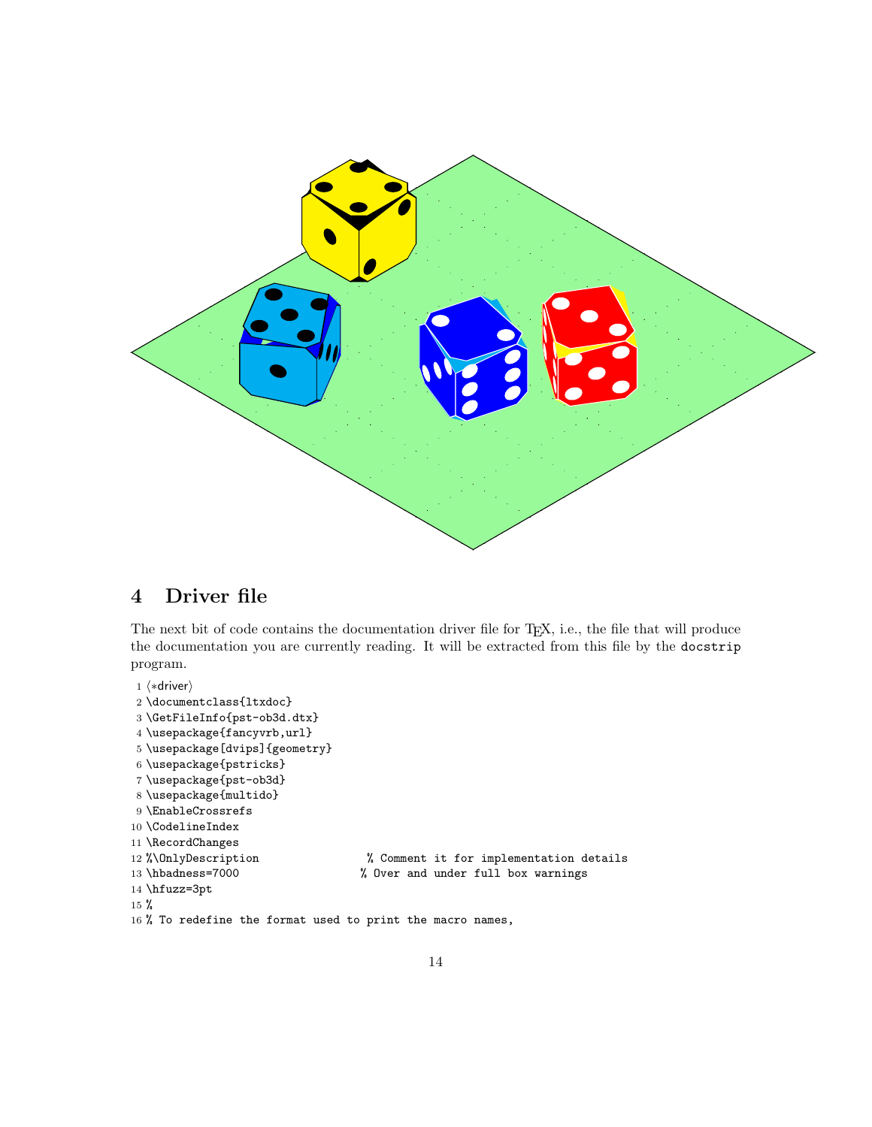![](_page_13_Figure_0.jpeg)

# 4 Driver file

The next bit of code contains the documentation driver file for TEX, i.e., the file that will produce the documentation you are currently reading. It will be extracted from this file by the docstrip program.

```
1 \langle *driver \rangle2 \documentclass{ltxdoc}
3 \GetFileInfo{pst-ob3d.dtx}
4 \usepackage{fancyvrb,url}
5 \usepackage[dvips]{geometry}
6 \usepackage{pstricks}
7 \usepackage{pst-ob3d}
8 \usepackage{multido}
9 \EnableCrossrefs
10 \CodelineIndex
11 \RecordChanges
12 %\OnlyDescription % Comment it for implementation details
13 \hbadness=7000 % Over and under full box warnings
14 \hfuzz=3pt
15 %
16 % To redefine the format used to print the macro names,
```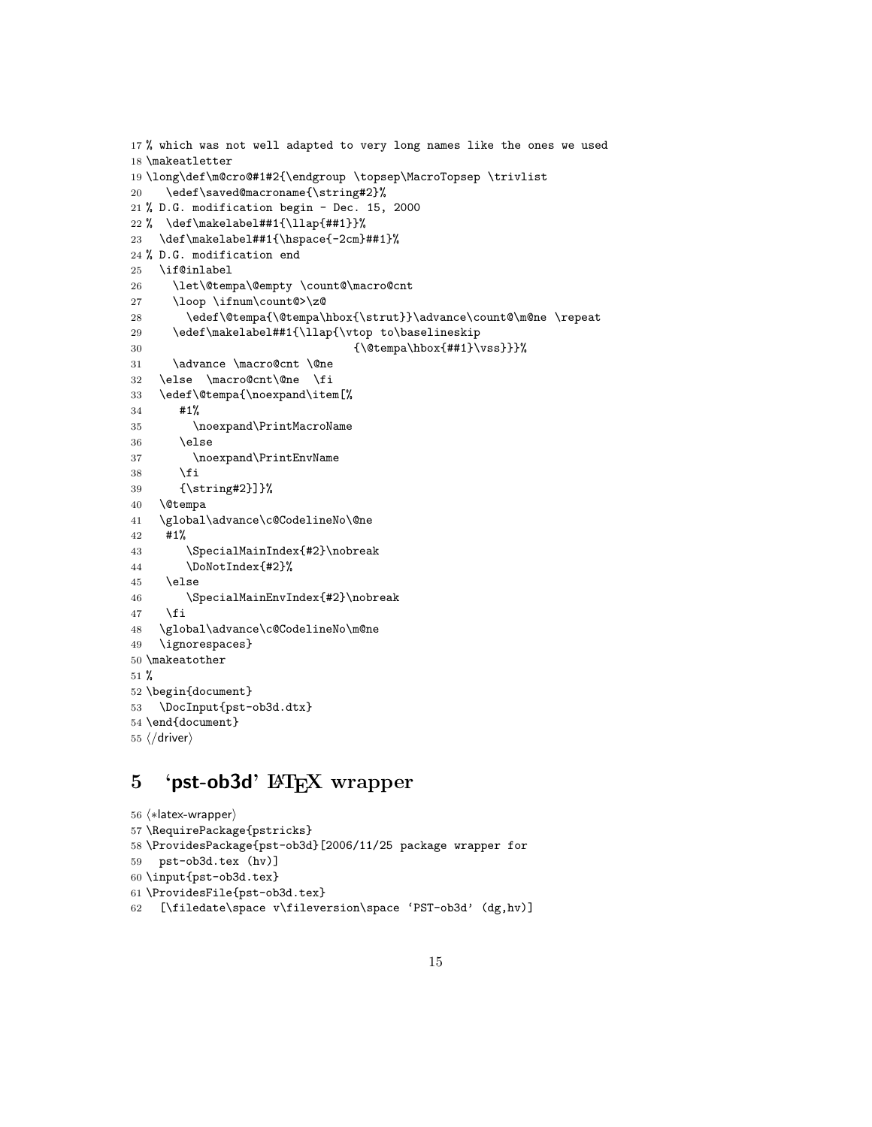```
17 % which was not well adapted to very long names like the ones we used
18 \makeatletter
19 \long\def\m@cro@#1#2{\endgroup \topsep\MacroTopsep \trivlist
20 \edef\saved@macroname{\string#2}%
21 % D.G. modification begin - Dec. 15, 2000
22 % \def\makelabel##1{\llap{##1}}%
23 \def\makelabel##1{\hspace{-2cm}##1}%
24 % D.G. modification end
25 \if@inlabel
26 \let\@tempa\@empty \count@\macro@cnt
27 \loop \ifnum\count@>\z@
28 \edef\@tempa{\@tempa\hbox{\strut}}\advance\count@\m@ne \repeat
29 \edef\makelabel##1{\llap{\vtop to\baselineskip
30 {\@tempa\hbox{##1}\vss}}}%
31 \advance \macro@cnt \@ne
32 \else \macro@cnt\@ne \fi
33 \edef\@tempa{\noexpand\item[%
34 #1%
35 \noexpand\PrintMacroName
36 \else
37 \noexpand\PrintEnvName
38 \fi
39 {\string#2}]}%
40 \@tempa
41 \global\advance\c@CodelineNo\@ne
42 #1%
43 \SpecialMainIndex{#2}\nobreak
44 \DoNotIndex{#2}%
45 \else
46 \SpecialMainEnvIndex{#2}\nobreak
47 \fi
48 \global\advance\c@CodelineNo\m@ne
49 \ignorespaces}
50 \makeatother
51 %
52 \begin{document}
53 \DocInput{pst-ob3d.dtx}
54 \end{document}
55 \langle / driver\rangle
```
# 5 'pst-ob3d' LAT<sub>E</sub>X wrapper

```
56 \langle *latex-wrapper)
57 \RequirePackage{pstricks}
58 \ProvidesPackage{pst-ob3d}[2006/11/25 package wrapper for
59 pst-ob3d.tex (hv)]
60 \input{pst-ob3d.tex}
61 \ProvidesFile{pst-ob3d.tex}
62 [\filedate\space v\fileversion\space 'PST-ob3d' (dg,hv)]
```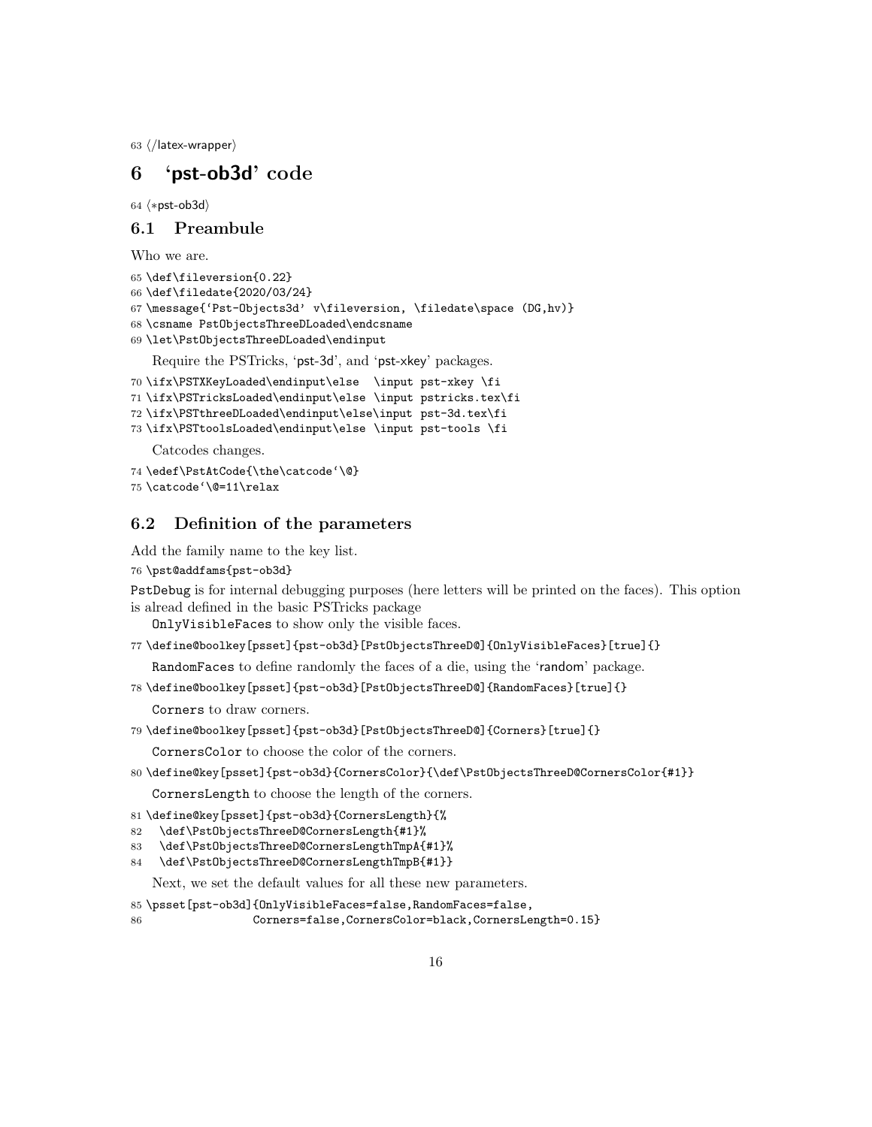63  $\langle$ /latex-wrapper $\rangle$ 

### 6 'pst-ob3d' code

64  $\langle$ \*pst-ob3d $\rangle$ 

### 6.1 Preambule

Who we are.

```
65 \def\fileversion{0.22}
66 \def\filedate{2020/03/24}
67 \message{'Pst-Objects3d' v\fileversion, \filedate\space (DG,hv)}
68 \csname PstObjectsThreeDLoaded\endcsname
69 \let\PstObjectsThreeDLoaded\endinput
```
Require the PSTricks, 'pst-3d', and 'pst-xkey' packages.

```
70 \ifx\PSTXKeyLoaded\endinput\else \input pst-xkey \fi
```
71 \ifx\PSTricksLoaded\endinput\else \input pstricks.tex\fi

```
72 \ifx\PSTthreeDLoaded\endinput\else\input pst-3d.tex\fi
```
73 \ifx\PSTtoolsLoaded\endinput\else \input pst-tools \fi

Catcodes changes.

```
74 \edef\PstAtCode{\the\catcode'\@}
```
75 \catcode'\@=11\relax

### 6.2 Definition of the parameters

Add the family name to the key list.

```
76 \pst@addfams{pst-ob3d}
```
PstDebug is for internal debugging purposes (here letters will be printed on the faces). This option is alread defined in the basic PSTricks package

OnlyVisibleFaces to show only the visible faces.

77 \define@boolkey[psset]{pst-ob3d}[PstObjectsThreeD@]{OnlyVisibleFaces}[true]{}

RandomFaces to define randomly the faces of a die, using the 'random' package.

78 \define@boolkey[psset]{pst-ob3d}[PstObjectsThreeD@]{RandomFaces}[true]{}

Corners to draw corners.

```
79 \define@boolkey[psset]{pst-ob3d}[PstObjectsThreeD@]{Corners}[true]{}
```
CornersColor to choose the color of the corners.

80 \define@key[psset]{pst-ob3d}{CornersColor}{\def\PstObjectsThreeD@CornersColor{#1}} CornersLength to choose the length of the corners.

```
81 \define@key[psset]{pst-ob3d}{CornersLength}{%
```
- 82 \def\PstObjectsThreeD@CornersLength{#1}%
- 83 \def\PstObjectsThreeD@CornersLengthTmpA{#1}%
- 84 \def\PstObjectsThreeD@CornersLengthTmpB{#1}}

Next, we set the default values for all these new parameters.

```
85 \psset[pst-ob3d]{OnlyVisibleFaces=false,RandomFaces=false,
```

```
86 Corners=false,CornersColor=black,CornersLength=0.15}
```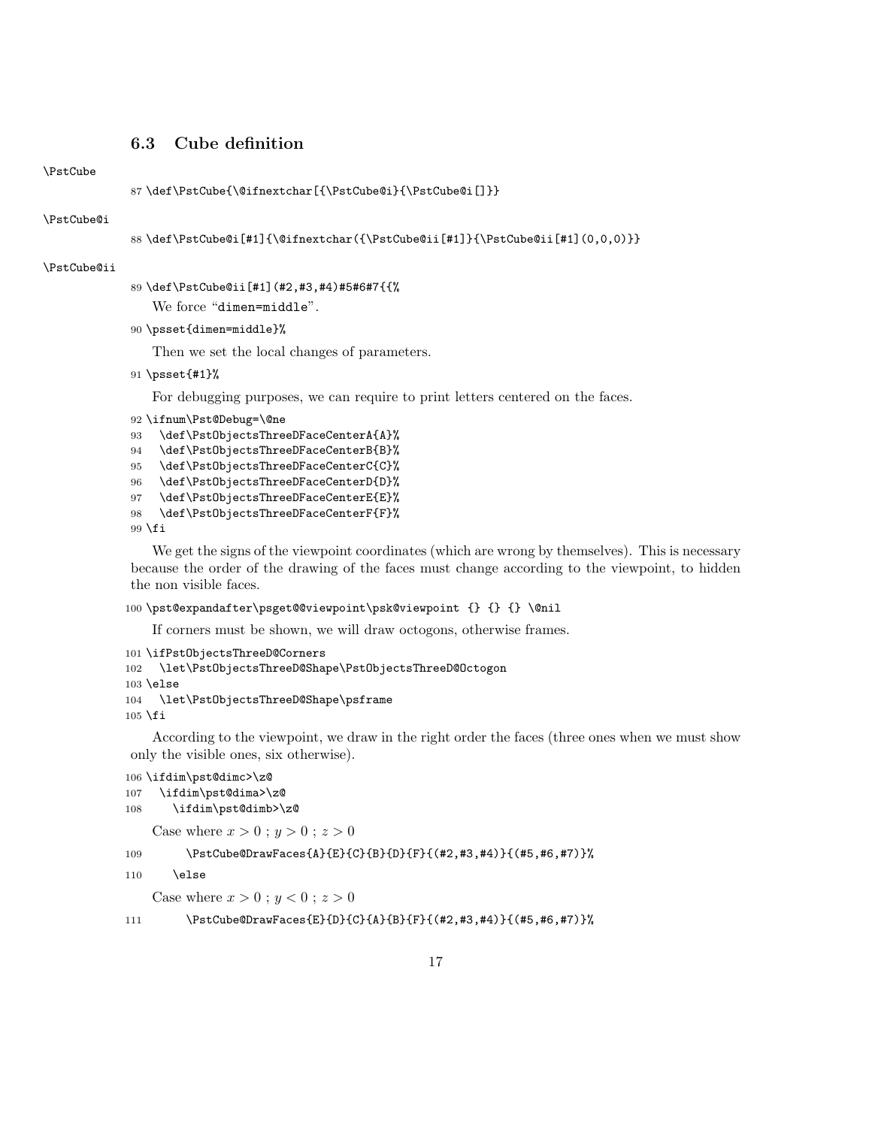### 6.3 Cube definition

#### \PstCube

```
87 \def\PstCube{\@ifnextchar[{\PstCube@i}{\PstCube@i[]}}
```
#### \PstCube@i

```
88 \def\PstCube@i[#1]{\@ifnextchar({\PstCube@ii[#1]}{\PstCube@ii[#1](0,0,0)}}
```
#### \PstCube@ii

```
89 \def\PstCube@ii[#1](#2,#3,#4)#5#6#7{{%
```
We force "dimen=middle".

\psset{dimen=middle}%

Then we set the local changes of parameters.

\psset{#1}%

For debugging purposes, we can require to print letters centered on the faces.

```
92 \ifnum\Pst@Debug=\@ne
```

```
93 \def\PstObjectsThreeDFaceCenterA{A}%
94 \def\PstObjectsThreeDFaceCenterB{B}%
```

```
95 \def\PstObjectsThreeDFaceCenterC{C}%
```
\def\PstObjectsThreeDFaceCenterD{D}%

```
97 \def\PstObjectsThreeDFaceCenterE{E}%
```

```
98 \def\PstObjectsThreeDFaceCenterF{F}%
```

```
99 \fi
```
We get the signs of the viewpoint coordinates (which are wrong by themselves). This is necessary because the order of the drawing of the faces must change according to the viewpoint, to hidden the non visible faces.

```
100 \pst@expandafter\psget@@viewpoint\psk@viewpoint {} {} {} \@nil
```
If corners must be shown, we will draw octogons, otherwise frames.

```
101 \ifPstObjectsThreeD@Corners
102 \let\PstObjectsThreeD@Shape\PstObjectsThreeD@Octogon
103 \else
104 \let\PstObjectsThreeD@Shape\psframe
105 \fi
```
According to the viewpoint, we draw in the right order the faces (three ones when we must show only the visible ones, six otherwise).

```
106 \ifdim\pst@dimc>\z@
107 \ifdim\pst@dima>\z@
108 \ifdim\pst@dimb>\z@
```
Case where  $x > 0$ ;  $y > 0$ ;  $z > 0$ 

### \PstCube@DrawFaces{A}{E}{C}{B}{D}{F}{(#2,#3,#4)}{(#5,#6,#7)}%

```
110 \else
```
Case where  $x > 0 : y < 0 : z > 0$ 

```
111 \PstCube@DrawFaces{E}{D}{C}{A}{B}{F}{(#2,#3,#4)}{(#5,#6,#7)}%
```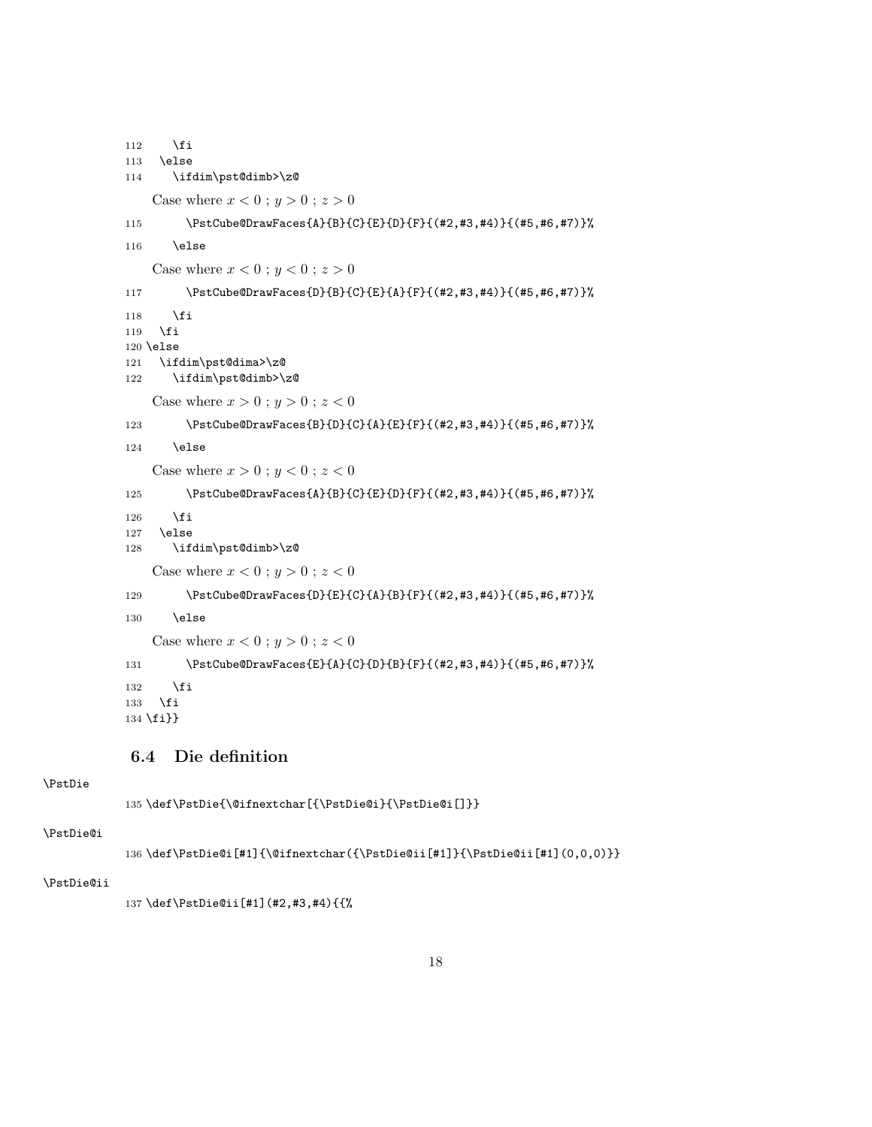```
112 \overrightarrow{fi}113 \else
114 \ifdim\pst@dimb>\z@
   Case where x < 0; y > 0; z > 0115 \PstCube@DrawFaces{A}{B}{C}{E}{D}{F}{(#2,#3,#4)}{(#5,#6,#7)}%
116 \else
   Case where x < 0; y < 0; z > 0117 \PstCube@DrawFaces{D}{B}{C}{E}{A}{F}{(#2,#3,#4)}{(#5,#6,#7)}%
118 \fi
119 \fi
120 \else
121 \ifdim\pst@dima>\z@
122 \ifdim\pst@dimb>\z@
   Case where x > 0; y > 0; z < 0123 \PstCube@DrawFaces{B}{D}{C}{A}{E}{F}{(#2,#3,#4)}{(#5,#6,#7)}%
124 \else
   Case where x > 0; y < 0; z < 0125 \PstCube@DrawFaces{A}{B}{C}{E}{D}{F}{(#2,#3,#4)}{(#5,#6,#7)}%
126 \fi
127 \else
128 \ifdim\pst@dimb>\z@
   Case where x < 0; y > 0; z < 0129 \PstCube@DrawFaces{D}{E}{C}{A}{B}{F}{(#2,#3,#4)}{(#5,#6,#7)}%
130 \else
   Case where x < 0; y > 0; z < 0131 \PstCube@DrawFaces{E}{A}{C}{D}{B}{F}{(#2,#3,#4)}{(#5,#6,#7)}%
132 \fi
133 \fi
134 \fi}}
```
### 6.4 Die definition

### \PstDie

\def\PstDie{\@ifnextchar[{\PstDie@i}{\PstDie@i[]}}

#### \PstDie@i

\def\PstDie@i[#1]{\@ifnextchar({\PstDie@ii[#1]}{\PstDie@ii[#1](0,0,0)}}

### \PstDie@ii

```
137 \def\PstDie@ii[#1](#2,#3,#4){{%
```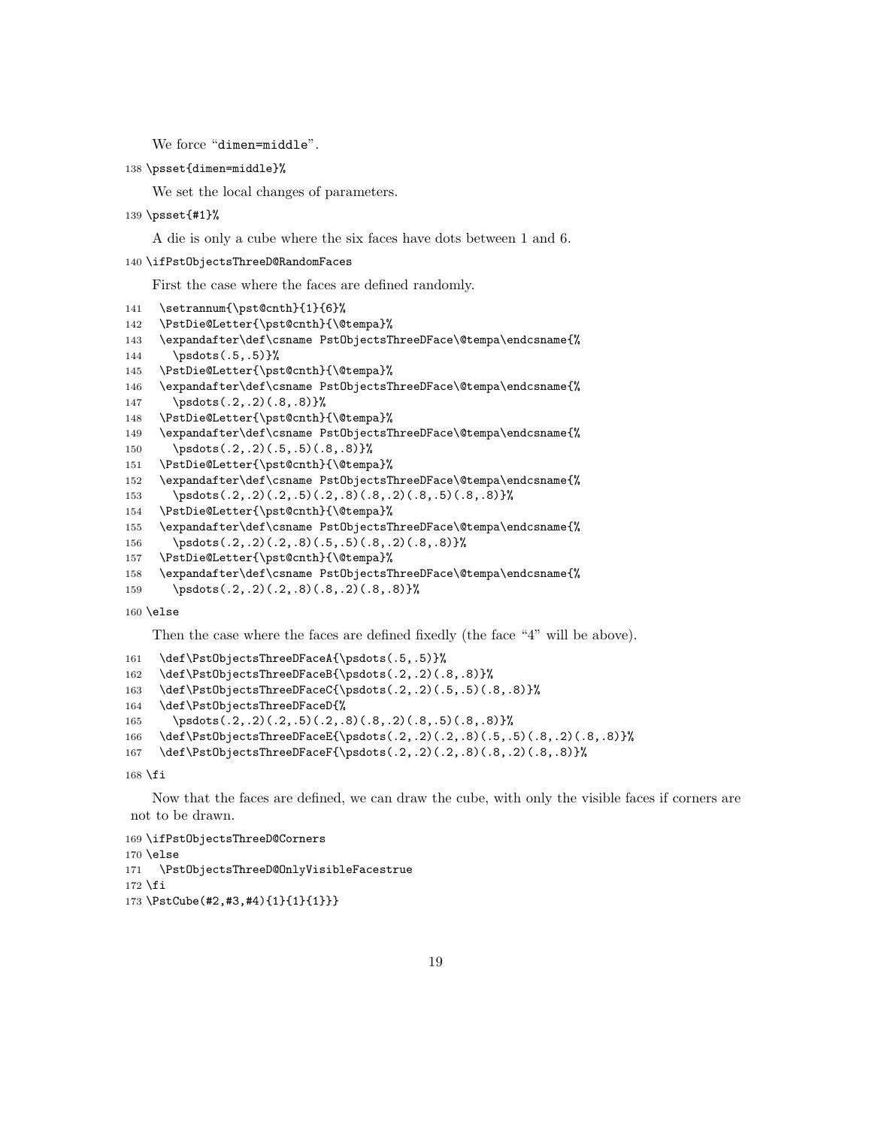We force "dimen=middle".

```
138 \psset{dimen=middle}%
```
We set the local changes of parameters.

```
139 \psset{#1}%
```
A die is only a cube where the six faces have dots between 1 and 6.

```
140 \ifPstObjectsThreeD@RandomFaces
```
First the case where the faces are defined randomly.

```
141 \setrannum{\pst@cnth}{1}{6}%
142 \PstDie@Letter{\pst@cnth}{\@tempa}%
143 \expandafter\def\csname PstObjectsThreeDFace\@tempa\endcsname{%
144 \psdots(.5,.5)}%
145 \PstDie@Letter{\pst@cnth}{\@tempa}%
146 \expandafter\def\csname PstObjectsThreeDFace\@tempa\endcsname{%
147 \psdots(.2,.2)(.8,.8) }%
148 \PstDie@Letter{\pst@cnth}{\@tempa}%
149 \expandafter\def\csname PstObjectsThreeDFace\@tempa\endcsname{%
150 \psdots(.2,.2)(.5,.5)(.8,.8) }%
151 \PstDie@Letter{\pst@cnth}{\@tempa}%
152 \expandafter\def\csname PstObjectsThreeDFace\@tempa\endcsname{%
153 \psdots(.2,.2)(.2,.5)(.2,.8)(.8,.2)(.8,.5)(.8,.8)154 \PstDie@Letter{\pst@cnth}{\@tempa}%
155 \expandafter\def\csname PstObjectsThreeDFace\@tempa\endcsname{%
156 \psdots(.2,.2)(.2,.8)(.5,.5)(.8,.2)(.8,.8)}%
157 \PstDie@Letter{\pst@cnth}{\@tempa}%
158 \expandafter\def\csname PstObjectsThreeDFace\@tempa\endcsname{%
159 \psdots(.2,.2)(.2,.8)(.8,.2)(.8,.8) \\highlargoroughlands
160 \else
```
Then the case where the faces are defined fixedly (the face "4" will be above).

```
161 \def\PstObjectsThreeDFaceA{\psdots(.5,.5)}%
162 \def\PstObjectsThreeDFaceB{\psdots(.2,.2)(.8,.8)}%
163 \def\PstObjectsThreeDFaceC{\psdots(.2,.2)(.5,.5)(.8,.8)}%
164 \def\PstObjectsThreeDFaceD{%
165 \psdots(.2,.2)(.2,.5)(.2,.8)(.8,.2)(.8,.5)(.8,.8)}%
166 \def\PstObjectsThreeDFaceE{\psdots(.2,.2)(.2,.8)(.5,.5)(.8,.2)(.8,.8)}%
167 \def\PstObjectsThreeDFaceF{\psdots(.2,.2)(.2,.8)(.8,.2)(.8,.8)}%
```
\fi

Now that the faces are defined, we can draw the cube, with only the visible faces if corners are not to be drawn.

```
169 \ifPstObjectsThreeD@Corners
170 \else
171 \PstObjectsThreeD@OnlyVisibleFacestrue
172 \fi
173 \PstCube(#2,#3,#4){1}{1}{1}}}
```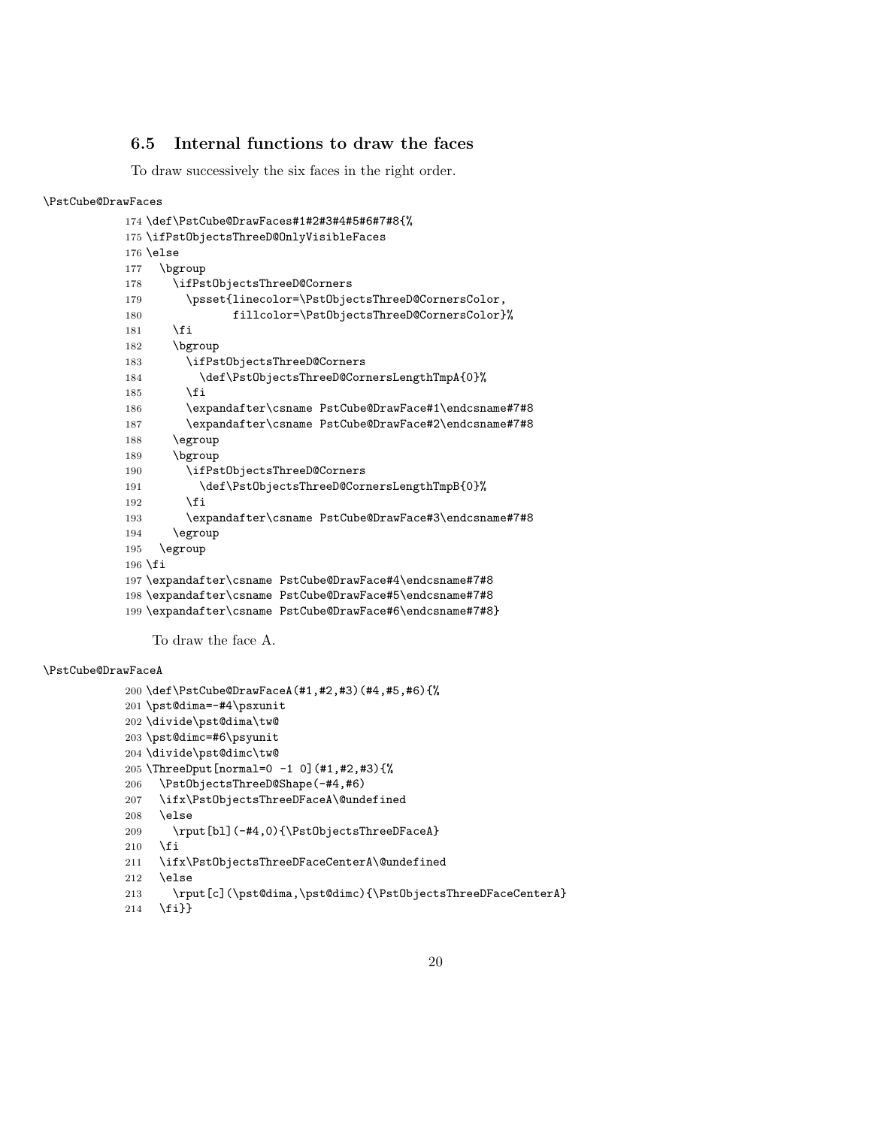### 6.5 Internal functions to draw the faces

To draw successively the six faces in the right order.

#### \PstCube@DrawFaces

```
174 \def\PstCube@DrawFaces#1#2#3#4#5#6#7#8{%
175 \ifPstObjectsThreeD@OnlyVisibleFaces
176 \else
177 \bgroup
178 \ifPstObjectsThreeD@Corners
179 \psset{linecolor=\PstObjectsThreeD@CornersColor,
180 fillcolor=\PstObjectsThreeD@CornersColor}%
181 \fi
182 \bgroup
183 \ifPstObjectsThreeD@Corners
184 \def\PstObjectsThreeD@CornersLengthTmpA{0}%
185 \overrightarrow{fi}186 \expandafter\csname PstCube@DrawFace#1\endcsname#7#8
187 \expandafter\csname PstCube@DrawFace#2\endcsname#7#8
188 \egroup
189 \bgroup
190 \ifPstObjectsThreeD@Corners
191 \def\PstObjectsThreeD@CornersLengthTmpB{0}%
192 \qquad \text{if}193 \expandafter\csname PstCube@DrawFace#3\endcsname#7#8
194 \egroup
195 \egroup
196 \fi
197 \expandafter\csname PstCube@DrawFace#4\endcsname#7#8
198 \expandafter\csname PstCube@DrawFace#5\endcsname#7#8
199 \expandafter\csname PstCube@DrawFace#6\endcsname#7#8}
```
To draw the face A.

### \PstCube@DrawFaceA

```
200 \def\PstCube@DrawFaceA(#1,#2,#3)(#4,#5,#6){%
201 \pst@dima=-#4\psxunit
202 \divide\pst@dima\tw@
203 \pst@dimc=#6\psyunit
204 \divide\pst@dimc\tw@
205 \ThreeDput[normal=0 -1 0](#1,#2,#3){%
206 \PstObjectsThreeD@Shape(-#4,#6)
207 \ifx\PstObjectsThreeDFaceA\@undefined
208 \else
209 \rput[bl](-#4,0){\PstObjectsThreeDFaceA}
210 \, \text{Vfi}211 \ifx\PstObjectsThreeDFaceCenterA\@undefined
212 \else
213 \rput[c](\pst@dima,\pst@dimc){\PstObjectsThreeDFaceCenterA}
214 \fi}}
```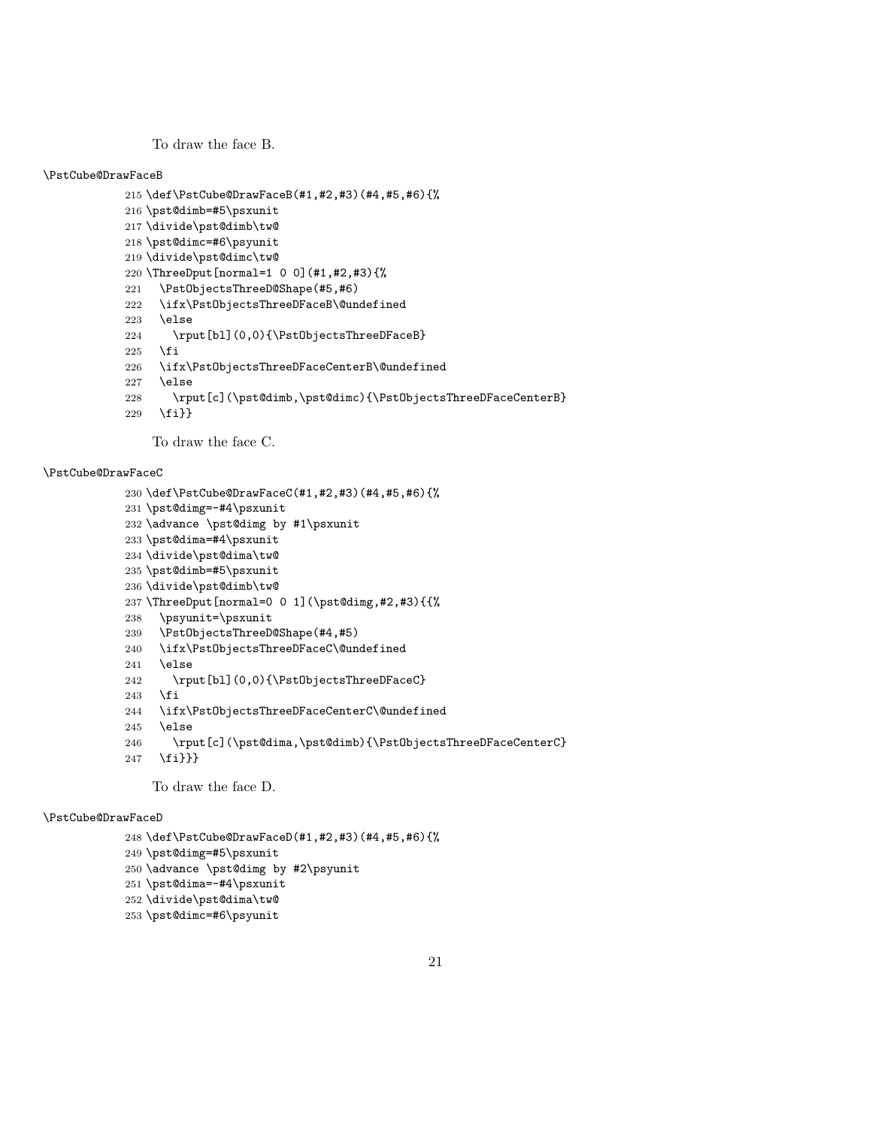To draw the face B.

#### \PstCube@DrawFaceB

```
215 \def\PstCube@DrawFaceB(#1,#2,#3)(#4,#5,#6){%
216 \pst@dimb=#5\psxunit
217 \divide\pst@dimb\tw@
218 \pst@dimc=#6\psyunit
219 \divide\pst@dimc\tw@
220 \ThreeDput[normal=1 0 0](#1,#2,#3){%
221 \PstObjectsThreeD@Shape(#5,#6)
222 \ifx\PstObjectsThreeDFaceB\@undefined
223 \else
224 \rput[bl](0,0){\PstObjectsThreeDFaceB}
225 \overline{1}226 \ifx\PstObjectsThreeDFaceCenterB\@undefined
227 \else
228 \rput[c](\pst@dimb,\pst@dimc){\PstObjectsThreeDFaceCenterB}
229 \fi}}
```
To draw the face C.

#### \PstCube@DrawFaceC

```
230 \def\PstCube@DrawFaceC(#1,#2,#3)(#4,#5,#6){%
231 \pst@dimg=-#4\psxunit
232 \advance \pst@dimg by #1\psxunit
233 \pst@dima=#4\psxunit
234 \divide\pst@dima\tw@
235 \pst@dimb=#5\psxunit
236 \divide\pst@dimb\tw@
237 \ThreeDput[normal=0 0 1](\pst@dimg,#2,#3){{%
238 \psyunit=\psxunit
239 \PstObjectsThreeD@Shape(#4,#5)
240 \ifx\PstObjectsThreeDFaceC\@undefined
241 \else
242 \rput[bl](0,0){\PstObjectsThreeDFaceC}
243 \fi
244 \ifx\PstObjectsThreeDFaceCenterC\@undefined
245 \else
246 \rput[c](\pst@dima,\pst@dimb){\PstObjectsThreeDFaceCenterC}
```
\fi}}}

To draw the face D.

#### \PstCube@DrawFaceD

```
248 \def\PstCube@DrawFaceD(#1,#2,#3)(#4,#5,#6){%
249 \pst@dimg=#5\psxunit
250 \advance \pst@dimg by #2\psyunit
251 \pst@dima=-#4\psxunit
252 \divide\pst@dima\tw@
253 \pst@dimc=#6\psyunit
```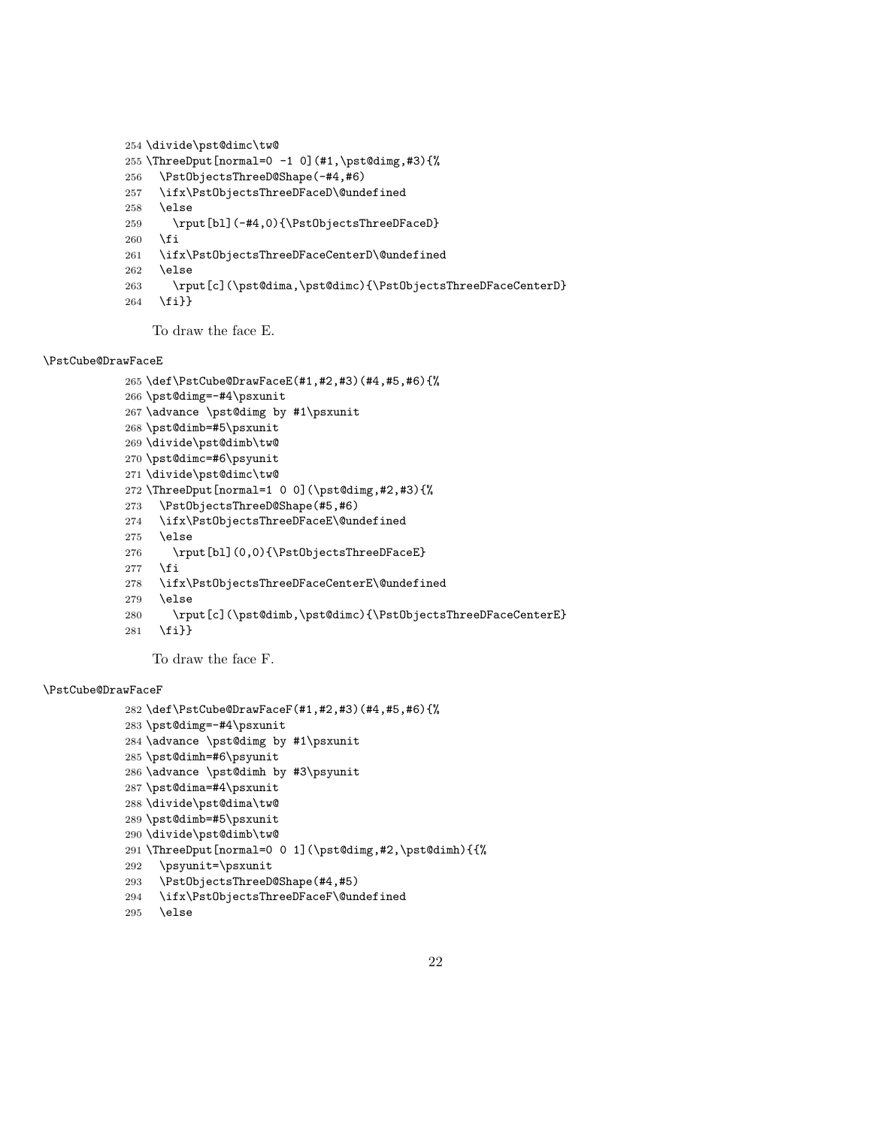```
254 \divide\pst@dimc\tw@
255 \ThreeDput[normal=0 -1 0](#1,\pst@dimg,#3){%
256 \PstObjectsThreeD@Shape(-#4,#6)
257 \ifx\PstObjectsThreeDFaceD\@undefined
258 \else
259 \rput[bl](-#4,0){\PstObjectsThreeDFaceD}
260 \fi
261 \ifx\PstObjectsThreeDFaceCenterD\@undefined
262 \else
263 \rput[c](\pst@dima,\pst@dimc){\PstObjectsThreeDFaceCenterD}
264 \fi}}
```
To draw the face E.

### \PstCube@DrawFaceE

```
265 \def\PstCube@DrawFaceE(#1,#2,#3)(#4,#5,#6){%
266 \pst@dimg=-#4\psxunit
267 \advance \pst@dimg by #1\psxunit
268 \pst@dimb=#5\psxunit
269 \divide\pst@dimb\tw@
270 \pst@dimc=#6\psyunit
271 \divide\pst@dimc\tw@
272 \ThreeDput[normal=1 0 0](\pst@dimg,#2,#3){%
273 \PstObjectsThreeD@Shape(#5,#6)
274 \ifx\PstObjectsThreeDFaceE\@undefined
275 \else
276 \rput[bl](0,0){\PstObjectsThreeDFaceE}
277 \fi
278 \ifx\PstObjectsThreeDFaceCenterE\@undefined
279 \else
280 \rput[c](\pst@dimb,\pst@dimc){\PstObjectsThreeDFaceCenterE}
281 \fi}}
```
To draw the face F.

### \PstCube@DrawFaceF

```
282 \def\PstCube@DrawFaceF(#1,#2,#3)(#4,#5,#6){%
283 \pst@dimg=-#4\psxunit
284 \advance \pst@dimg by #1\psxunit
285 \pst@dimh=#6\psyunit
286 \advance \pst@dimh by #3\psyunit
287 \pst@dima=#4\psxunit
288 \divide\pst@dima\tw@
289 \pst@dimb=#5\psxunit
290 \divide\pst@dimb\tw@
291 \ThreeDput[normal=0 0 1](\pst@dimg,#2,\pst@dimh){{%
292 \psyunit=\psxunit
293 \PstObjectsThreeD@Shape(#4,#5)
294 \ifx\PstObjectsThreeDFaceF\@undefined
```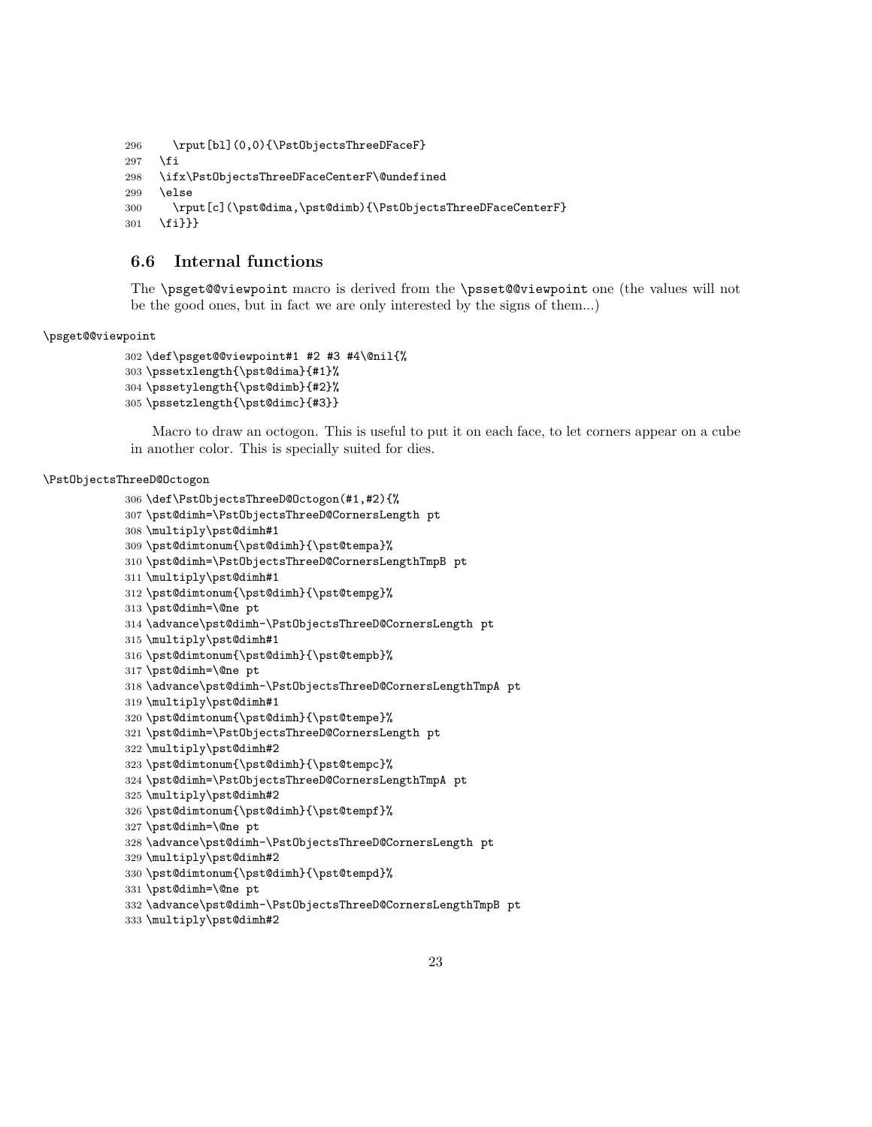```
296 \rput[bl](0,0){\PstObjectsThreeDFaceF}
297 \fi
298 \ifx\PstObjectsThreeDFaceCenterF\@undefined
299 \else
300 \rput[c](\pst@dima,\pst@dimb){\PstObjectsThreeDFaceCenterF}
301 \fi}}}
```
### 6.6 Internal functions

The \psget@@viewpoint macro is derived from the \psset@@viewpoint one (the values will not be the good ones, but in fact we are only interested by the signs of them...)

### \psget@@viewpoint

```
302 \def\psget@@viewpoint#1 #2 #3 #4\@nil{%
303 \pssetxlength{\pst@dima}{#1}%
304 \pssetylength{\pst@dimb}{#2}%
305 \pssetzlength{\pst@dimc}{#3}}
```
Macro to draw an octogon. This is useful to put it on each face, to let corners appear on a cube in another color. This is specially suited for dies.

#### \PstObjectsThreeD@Octogon

```
306 \def\PstObjectsThreeD@Octogon(#1,#2){%
307 \pst@dimh=\PstObjectsThreeD@CornersLength pt
308 \multiply\pst@dimh#1
309 \pst@dimtonum{\pst@dimh}{\pst@tempa}%
310 \pst@dimh=\PstObjectsThreeD@CornersLengthTmpB pt
311 \multiply\pst@dimh#1
312 \pst@dimtonum{\pst@dimh}{\pst@tempg}%
313 \pst@dimh=\@ne pt
314 \advance\pst@dimh-\PstObjectsThreeD@CornersLength pt
315 \multiply\pst@dimh#1
316 \pst@dimtonum{\pst@dimh}{\pst@tempb}%
317 \pst@dimh=\@ne pt
318 \advance\pst@dimh-\PstObjectsThreeD@CornersLengthTmpA pt
319 \multiply\pst@dimh#1
320 \pst@dimtonum{\pst@dimh}{\pst@tempe}%
321 \pst@dimh=\PstObjectsThreeD@CornersLength pt
322 \multiply\pst@dimh#2
323 \pst@dimtonum{\pst@dimh}{\pst@tempc}%
324 \pst@dimh=\PstObjectsThreeD@CornersLengthTmpA pt
325 \multiply\pst@dimh#2
326 \pst@dimtonum{\pst@dimh}{\pst@tempf}%
327 \pst@dimh=\@ne pt
328 \advance\pst@dimh-\PstObjectsThreeD@CornersLength pt
329 \multiply\pst@dimh#2
330 \pst@dimtonum{\pst@dimh}{\pst@tempd}%
331 \pst@dimh=\@ne pt
332 \advance\pst@dimh-\PstObjectsThreeD@CornersLengthTmpB pt
```
\multiply\pst@dimh#2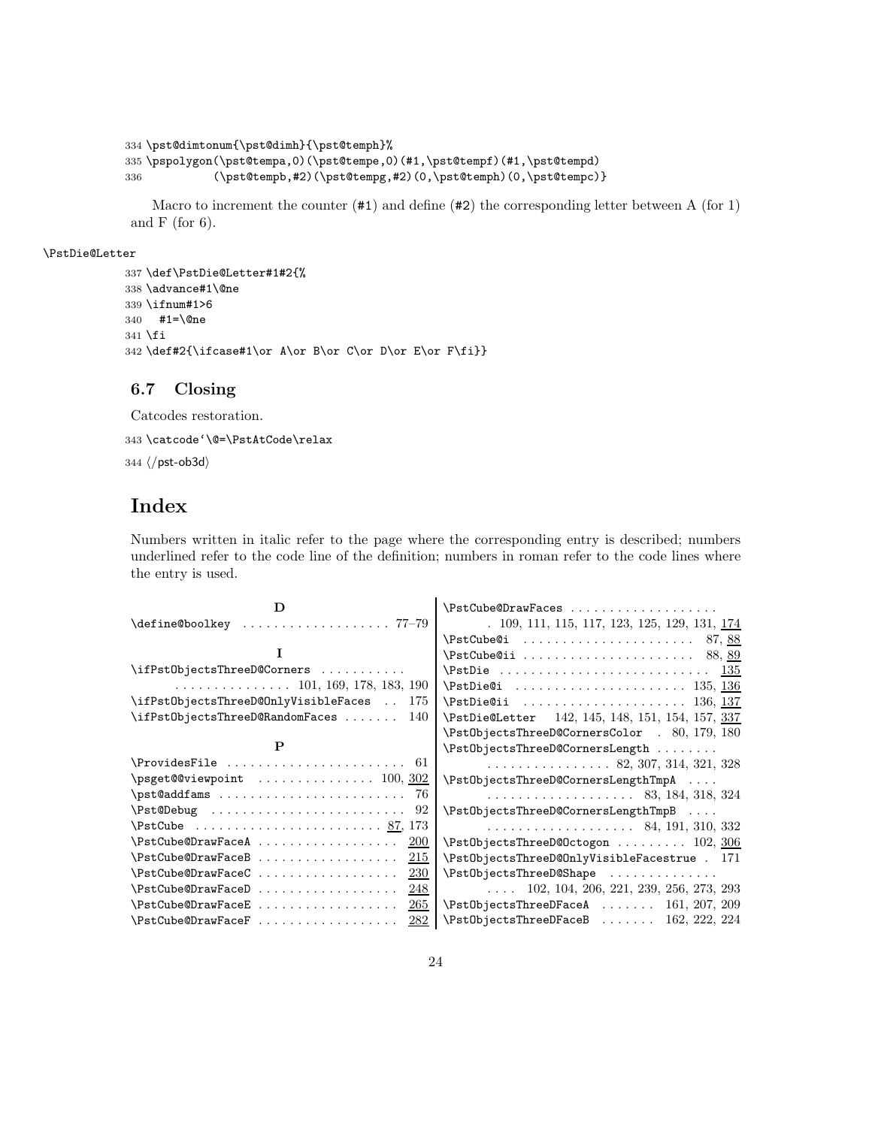```
334 \pst@dimtonum{\pst@dimh}{\pst@temph}%
335 \pspolygon(\pst@tempa,0)(\pst@tempe,0)(#1,\pst@tempf)(#1,\pst@tempd)
336 (\pst@tempb,#2)(\pst@tempg,#2)(0,\pst@temph)(0,\pst@tempc)}
```
Macro to increment the counter  $(41)$  and define  $(42)$  the corresponding letter between A (for 1) and  $F$  (for 6).

### \PstDie@Letter

```
337 \def\PstDie@Letter#1#2{%
338 \advance#1\@ne
339 \ifnum#1>6
340 #1=\@ne
341 \fi
342 \def#2{\ifcase#1\or A\or B\or C\or D\or E\or F\fi}}
```
### 6.7 Closing

Catcodes restoration. 343 \catcode'\@=\PstAtCode\relax 344  $\langle$ /pst-ob3d $\rangle$ 

### Index

Numbers written in italic refer to the page where the corresponding entry is described; numbers underlined refer to the code line of the definition; numbers in roman refer to the code lines where the entry is used.

| D                                                            | \PstCube@DrawFaces                                                   |
|--------------------------------------------------------------|----------------------------------------------------------------------|
| \define@boolkey  77-79                                       | $. 109, 111, 115, 117, 123, 125, 129, 131, 174$                      |
|                                                              | $\forall$ PstCube@i  87, 88                                          |
|                                                              | $\text{V}$ stCube@ii  88,89                                          |
| \ifPst0bjectsThreeD@Corners                                  |                                                                      |
| $\ldots \ldots \ldots \ldots \ldots 101, 169, 178, 183, 190$ |                                                                      |
| \ifPst0bjectsThreeD@OnlyVisibleFaces<br>175                  | $\Delta 136, 137$                                                    |
| $\iint PstObjectsThreeD@RandomFaces   140$                   | \PstDie@Letter 142, 145, 148, 151, 154, 157, 337                     |
|                                                              | \PstObjectsThreeD@CornersColor . 80, 179, 180                        |
| P                                                            | \PstObjectsThreeD@CornersLength                                      |
| $\ProvidesFile  \ldots \ldots \ldots \ldots 61$              | $\ldots \ldots \ldots \ldots \ldots$ 82, 307, 314, 321, 328          |
| $\text{psget@Viewpoint}$ 100, 302                            | \PstObjectsThreeD@CornersLengthTmpA                                  |
|                                                              | $\ldots \ldots \ldots \ldots \ldots \ldots \ldots$ 83, 184, 318, 324 |
|                                                              | \PstObjectsThreeD@CornersLengthTmpB                                  |
| $\forall$ PstCube  87, 173                                   | $\cdots$ 84, 191, 310, 332                                           |
| $\\F$ stCube@DrawFaceA  200                                  | \PstObjectsThreeD@Octogon  102, 306                                  |
| $\\$ FstCube@DrawFaceB      215                              | \PstObjectsThreeD@OnlyVisibleFacestrue . 171                         |
| $\\%tCube@DrawFaceC     230$                                 | \PstObjectsThreeD@Shape                                              |
| $\\F$ stCube@DrawFaceD  248                                  | $\ldots$ 102, 104, 206, 221, 239, 256, 273, 293                      |
| $\\%$ : $265$                                                | $\\Phi$ 161, 207, 209                                                |
| \PstCube@DrawFaceF<br>282                                    | $\Pst0bjectsThreeDFaceB$ 162, 222, 224                               |
|                                                              |                                                                      |